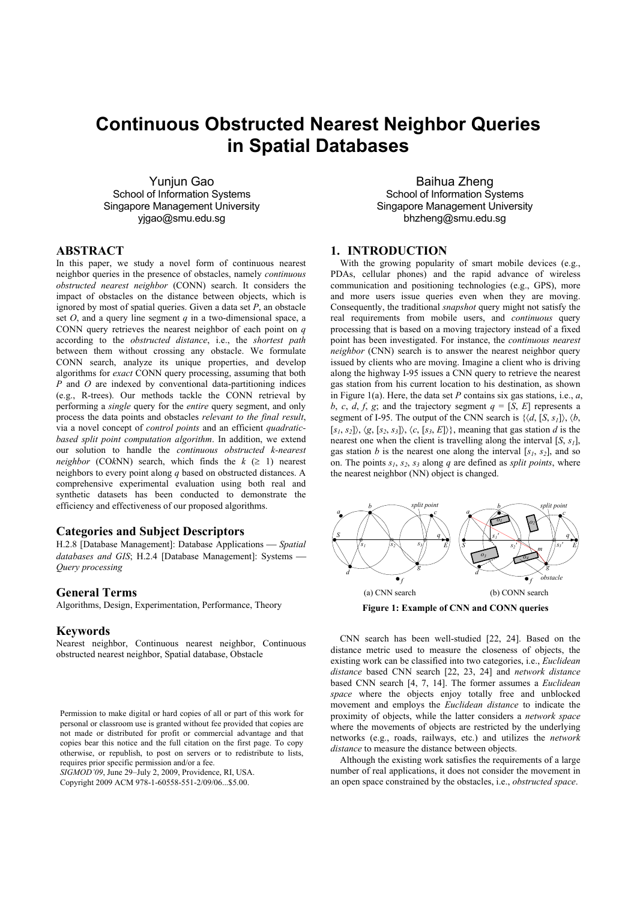# **Continuous Obstructed Nearest Neighbor Queries in Spatial Databases**

Yunjun Gao School of Information Systems Singapore Management University yjgao@smu.edu.sg

Baihua Zheng School of Information Systems Singapore Management University bhzheng@smu.edu.sg

## **ABSTRACT**

In this paper, we study a novel form of continuous nearest neighbor queries in the presence of obstacles, namely *continuous obstructed nearest neighbor* (CONN) search. It considers the impact of obstacles on the distance between objects, which is ignored by most of spatial queries. Given a data set *P*, an obstacle set *O*, and a query line segment *q* in a two-dimensional space, a CONN query retrieves the nearest neighbor of each point on *q* according to the *obstructed distance*, i.e., the *shortest path* between them without crossing any obstacle. We formulate CONN search, analyze its unique properties, and develop algorithms for *exact* CONN query processing, assuming that both *P* and *O* are indexed by conventional data-partitioning indices (e.g., R-trees). Our methods tackle the CONN retrieval by performing a *single* query for the *entire* query segment, and only process the data points and obstacles *relevant to the final result*, via a novel concept of *control points* and an efficient *quadraticbased split point computation algorithm*. In addition, we extend our solution to handle the *continuous obstructed k-nearest neighbor* (CO $k$ NN) search, which finds the  $k$  ( $\geq$  1) nearest neighbors to every point along *q* based on obstructed distances. A comprehensive experimental evaluation using both real and synthetic datasets has been conducted to demonstrate the efficiency and effectiveness of our proposed algorithms.

## **Categories and Subject Descriptors**

H.2.8 [Database Management]: Database Applications — Spatial *databases and GIS*; H.2.4 [Database Management]: Systems -*Query processing*

## **General Terms**

Algorithms, Design, Experimentation, Performance, Theory

## **Keywords**

Nearest neighbor, Continuous nearest neighbor, Continuous obstructed nearest neighbor, Spatial database, Obstacle

*SIGMOD'09*, June 29–July 2, 2009, Providence, RI, USA.

Copyright 2009 ACM 978-1-60558-551-2/09/06...\$5.00.

**1. INTRODUCTION** 

With the growing popularity of smart mobile devices (e.g., PDAs, cellular phones) and the rapid advance of wireless communication and positioning technologies (e.g., GPS), more and more users issue queries even when they are moving. Consequently, the traditional *snapshot* query might not satisfy the real requirements from mobile users, and *continuous* query processing that is based on a moving trajectory instead of a fixed point has been investigated. For instance, the *continuous nearest neighbor* (CNN) search is to answer the nearest neighbor query issued by clients who are moving. Imagine a client who is driving along the highway I-95 issues a CNN query to retrieve the nearest gas station from his current location to his destination, as shown in Figure 1(a). Here, the data set *P* contains six gas stations, i.e., *a*, *b*, *c*, *d*, *f*, *g*; and the trajectory segment  $q = [\overline{S}, E]$  represents a segment of I-95. The output of the CNN search is  $\{\langle d, [S, s_I] \rangle, \langle b, \rangle\}$  $[S_1, S_2]$ ,  $\langle g, [s_2, s_3] \rangle$ ,  $\langle c, [s_3, E] \rangle$ , meaning that gas station *d* is the nearest one when the client is travelling along the interval  $[S, s_1]$ , gas station *b* is the nearest one along the interval  $[s_1, s_2]$ , and so on. The points  $s_1$ ,  $s_2$ ,  $s_3$  along *q* are defined as *split points*, where the nearest neighbor (NN) object is changed.



**Figure 1: Example of CNN and CONN queries** 

CNN search has been well-studied [22, 24]. Based on the distance metric used to measure the closeness of objects, the existing work can be classified into two categories, i.e., *Euclidean distance* based CNN search [22, 23, 24] and *network distance* based CNN search [4, 7, 14]. The former assumes a *Euclidean space* where the objects enjoy totally free and unblocked movement and employs the *Euclidean distance* to indicate the proximity of objects, while the latter considers a *network space* where the movements of objects are restricted by the underlying networks (e.g., roads, railways, etc.) and utilizes the *network distance* to measure the distance between objects.

Although the existing work satisfies the requirements of a large number of real applications, it does not consider the movement in an open space constrained by the obstacles, i.e., *obstructed space*.

Permission to make digital or hard copies of all or part of this work for personal or classroom use is granted without fee provided that copies are not made or distributed for profit or commercial advantage and that copies bear this notice and the full citation on the first page. To copy otherwise, or republish, to post on servers or to redistribute to lists, requires prior specific permission and/or a fee.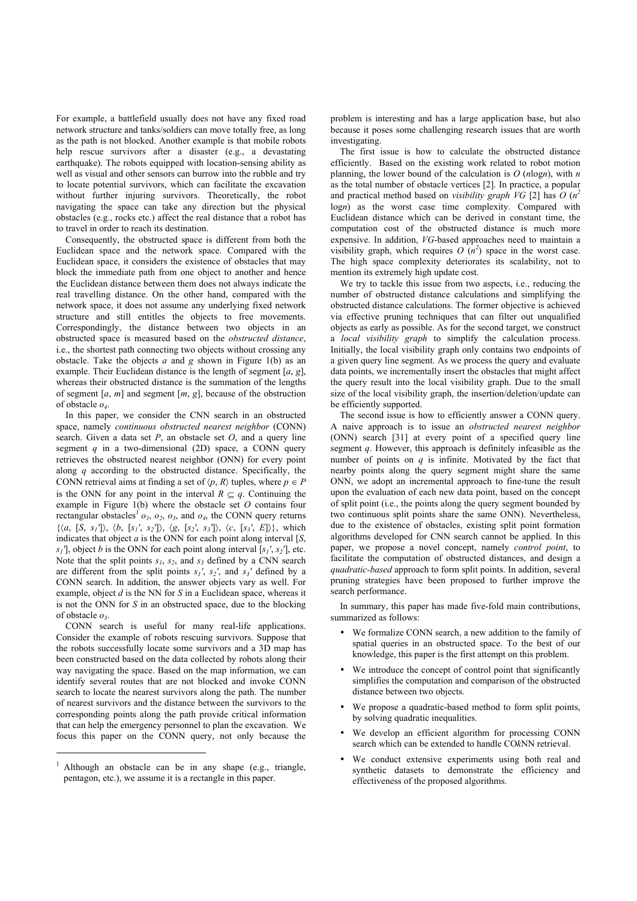For example, a battlefield usually does not have any fixed road network structure and tanks/soldiers can move totally free, as long as the path is not blocked. Another example is that mobile robots help rescue survivors after a disaster (e.g., a devastating earthquake). The robots equipped with location-sensing ability as well as visual and other sensors can burrow into the rubble and try to locate potential survivors, which can facilitate the excavation without further injuring survivors. Theoretically, the robot navigating the space can take any direction but the physical obstacles (e.g., rocks etc.) affect the real distance that a robot has to travel in order to reach its destination.

Consequently, the obstructed space is different from both the Euclidean space and the network space. Compared with the Euclidean space, it considers the existence of obstacles that may block the immediate path from one object to another and hence the Euclidean distance between them does not always indicate the real travelling distance. On the other hand, compared with the network space, it does not assume any underlying fixed network structure and still entitles the objects to free movements. Correspondingly, the distance between two objects in an obstructed space is measured based on the *obstructed distance*, i.e., the shortest path connecting two objects without crossing any obstacle. Take the objects *a* and *g* shown in Figure 1(b) as an example. Their Euclidean distance is the length of segment [*a*, *g*], whereas their obstructed distance is the summation of the lengths of segment [*a*, *m*] and segment [*m*, *g*], because of the obstruction of obstacle *o4*.

In this paper, we consider the CNN search in an obstructed space, namely *continuous obstructed nearest neighbor* (CONN) search. Given a data set *P*, an obstacle set *O*, and a query line segment *q* in a two-dimensional (2D) space, a CONN query retrieves the obstructed nearest neighbor (ONN) for every point along *q* according to the obstructed distance. Specifically, the CONN retrieval aims at finding a set of  $\langle p, R \rangle$  tuples, where  $p \in P$ is the ONN for any point in the interval  $R \subset q$ . Continuing the example in Figure 1(b) where the obstacle set *O* contains four rectangular obstacles<sup>1</sup>  $o<sub>1</sub>$ ,  $o<sub>2</sub>$ ,  $o<sub>3</sub>$ , and  $o<sub>4</sub>$ , the CONN query returns  $\{\langle a, [S, s_1] \rangle, \langle b, [s_1', s_2] \rangle, \langle g, [s_2', s_3] \rangle, \langle c, [s_3', E] \rangle\},\$  which indicates that object *a* is the ONN for each point along interval [*S*, *s<sub>1</sub>*<sup> $\alpha$ </sup>, object *b* is the ONN for each point along interval [*s<sub>1</sub>'*, *s*<sub>2</sub><sup> $\alpha$ </sup>], etc. Note that the split points  $s_1$ ,  $s_2$ , and  $s_3$  defined by a CNN search are different from the split points  $s_1$ <sup>*'*</sup>,  $s_2$ <sup>*'*</sup>, and  $s_3$ <sup>*'*</sup> defined by a CONN search. In addition, the answer objects vary as well. For example, object *d* is the NN for *S* in a Euclidean space, whereas it is not the ONN for *S* in an obstructed space, due to the blocking of obstacle *o3*.

CONN search is useful for many real-life applications. Consider the example of robots rescuing survivors. Suppose that the robots successfully locate some survivors and a 3D map has been constructed based on the data collected by robots along their way navigating the space. Based on the map information, we can identify several routes that are not blocked and invoke CONN search to locate the nearest survivors along the path. The number of nearest survivors and the distance between the survivors to the corresponding points along the path provide critical information that can help the emergency personnel to plan the excavation. We focus this paper on the CONN query, not only because the

1

problem is interesting and has a large application base, but also because it poses some challenging research issues that are worth investigating.

The first issue is how to calculate the obstructed distance efficiently. Based on the existing work related to robot motion planning, the lower bound of the calculation is *O* (*n*log*n*), with *n* as the total number of obstacle vertices [2]. In practice, a popular and practical method based on *visibility graph VG* [2] has *O* (*n<sup>2</sup>* log*n*) as the worst case time complexity. Compared with Euclidean distance which can be derived in constant time, the computation cost of the obstructed distance is much more expensive. In addition, *VG*-based approaches need to maintain a visibility graph, which requires  $O(n^2)$  space in the worst case. The high space complexity deteriorates its scalability, not to mention its extremely high update cost.

We try to tackle this issue from two aspects, i.e., reducing the number of obstructed distance calculations and simplifying the obstructed distance calculations. The former objective is achieved via effective pruning techniques that can filter out unqualified objects as early as possible. As for the second target, we construct a *local visibility graph* to simplify the calculation process. Initially, the local visibility graph only contains two endpoints of a given query line segment. As we process the query and evaluate data points, we incrementally insert the obstacles that might affect the query result into the local visibility graph. Due to the small size of the local visibility graph, the insertion/deletion/update can be efficiently supported.

The second issue is how to efficiently answer a CONN query. A naive approach is to issue an *obstructed nearest neighbor* (ONN) search [31] at every point of a specified query line segment *q*. However, this approach is definitely infeasible as the number of points on  $q$  is infinite. Motivated by the fact that nearby points along the query segment might share the same ONN, we adopt an incremental approach to fine-tune the result upon the evaluation of each new data point, based on the concept of split point (i.e., the points along the query segment bounded by two continuous split points share the same ONN). Nevertheless, due to the existence of obstacles, existing split point formation algorithms developed for CNN search cannot be applied. In this paper, we propose a novel concept, namely *control point*, to facilitate the computation of obstructed distances, and design a *quadratic-based* approach to form split points. In addition, several pruning strategies have been proposed to further improve the search performance.

In summary, this paper has made five-fold main contributions, summarized as follows:

- We formalize CONN search, a new addition to the family of spatial queries in an obstructed space. To the best of our knowledge, this paper is the first attempt on this problem.
- We introduce the concept of control point that significantly simplifies the computation and comparison of the obstructed distance between two objects.
- We propose a quadratic-based method to form split points, by solving quadratic inequalities.
- We develop an efficient algorithm for processing CONN search which can be extended to handle CO*k*NN retrieval.
- We conduct extensive experiments using both real and synthetic datasets to demonstrate the efficiency and effectiveness of the proposed algorithms.

<sup>1</sup> Although an obstacle can be in any shape (e.g., triangle, pentagon, etc.), we assume it is a rectangle in this paper.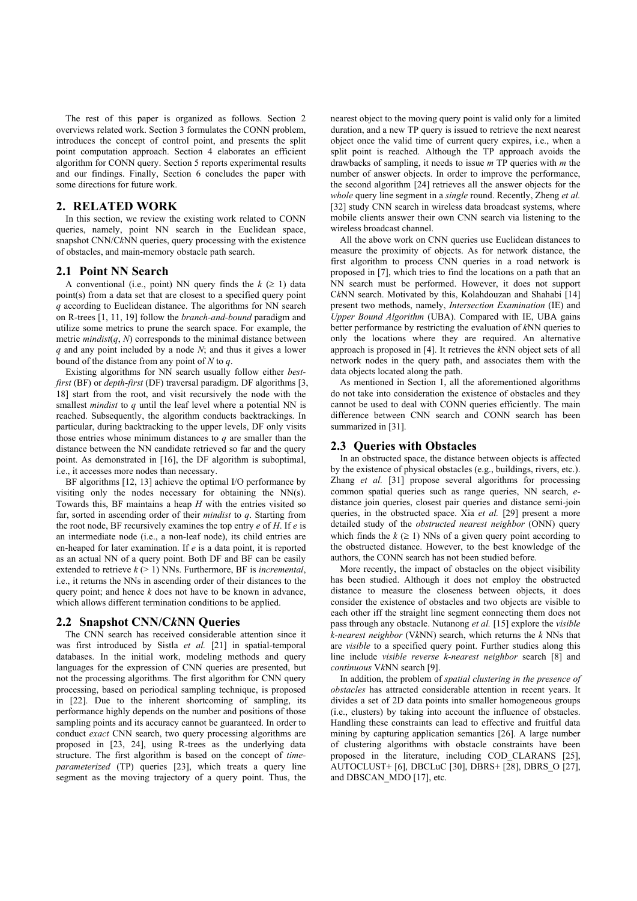The rest of this paper is organized as follows. Section 2 overviews related work. Section 3 formulates the CONN problem, introduces the concept of control point, and presents the split point computation approach. Section 4 elaborates an efficient algorithm for CONN query. Section 5 reports experimental results and our findings. Finally, Section 6 concludes the paper with some directions for future work.

## **2. RELATED WORK**

In this section, we review the existing work related to CONN queries, namely, point NN search in the Euclidean space, snapshot CNN/C*k*NN queries, query processing with the existence of obstacles, and main-memory obstacle path search.

## **2.1 Point NN Search**

A conventional (i.e., point) NN query finds the  $k \geq 1$ ) data point(s) from a data set that are closest to a specified query point *q* according to Euclidean distance. The algorithms for NN search on R-trees [1, 11, 19] follow the *branch-and-bound* paradigm and utilize some metrics to prune the search space. For example, the metric  $mindist(q, N)$  corresponds to the minimal distance between *q* and any point included by a node *N*; and thus it gives a lower bound of the distance from any point of *N* to *q*.

Existing algorithms for NN search usually follow either *bestfirst* (BF) or *depth-first* (DF) traversal paradigm. DF algorithms [3, 18] start from the root, and visit recursively the node with the smallest *mindist* to *q* until the leaf level where a potential NN is reached. Subsequently, the algorithm conducts backtrackings. In particular, during backtracking to the upper levels, DF only visits those entries whose minimum distances to *q* are smaller than the distance between the NN candidate retrieved so far and the query point. As demonstrated in [16], the DF algorithm is suboptimal, i.e., it accesses more nodes than necessary.

BF algorithms [12, 13] achieve the optimal I/O performance by visiting only the nodes necessary for obtaining the NN(s). Towards this, BF maintains a heap *H* with the entries visited so far, sorted in ascending order of their *mindist* to *q*. Starting from the root node, BF recursively examines the top entry *e* of *H*. If *e* is an intermediate node (i.e., a non-leaf node), its child entries are en-heaped for later examination. If *e* is a data point, it is reported as an actual NN of a query point. Both DF and BF can be easily extended to retrieve  $k \geq 1$ ) NNs. Furthermore, BF is *incremental*, i.e., it returns the NNs in ascending order of their distances to the query point; and hence *k* does not have to be known in advance, which allows different termination conditions to be applied.

#### **2.2 Snapshot CNN/C***k***NN Queries**

The CNN search has received considerable attention since it was first introduced by Sistla *et al.* [21] in spatial-temporal databases. In the initial work, modeling methods and query languages for the expression of CNN queries are presented, but not the processing algorithms. The first algorithm for CNN query processing, based on periodical sampling technique, is proposed in [22]. Due to the inherent shortcoming of sampling, its performance highly depends on the number and positions of those sampling points and its accuracy cannot be guaranteed. In order to conduct *exact* CNN search, two query processing algorithms are proposed in [23, 24], using R-trees as the underlying data structure. The first algorithm is based on the concept of *timeparameterized* (TP) queries [23], which treats a query line segment as the moving trajectory of a query point. Thus, the

nearest object to the moving query point is valid only for a limited duration, and a new TP query is issued to retrieve the next nearest object once the valid time of current query expires, i.e., when a split point is reached. Although the TP approach avoids the drawbacks of sampling, it needs to issue *m* TP queries with *m* the number of answer objects. In order to improve the performance, the second algorithm [24] retrieves all the answer objects for the *whole* query line segment in a *single* round. Recently, Zheng *et al.* [32] study CNN search in wireless data broadcast systems, where mobile clients answer their own CNN search via listening to the wireless broadcast channel.

All the above work on CNN queries use Euclidean distances to measure the proximity of objects. As for network distance, the first algorithm to process CNN queries in a road network is proposed in [7], which tries to find the locations on a path that an NN search must be performed. However, it does not support C*k*NN search. Motivated by this, Kolahdouzan and Shahabi [14] present two methods, namely, *Intersection Examination* (IE) and *Upper Bound Algorithm* (UBA). Compared with IE, UBA gains better performance by restricting the evaluation of *k*NN queries to only the locations where they are required. An alternative approach is proposed in [4]. It retrieves the *k*NN object sets of all network nodes in the query path, and associates them with the data objects located along the path.

As mentioned in Section 1, all the aforementioned algorithms do not take into consideration the existence of obstacles and they cannot be used to deal with CONN queries efficiently. The main difference between CNN search and CONN search has been summarized in [31].

#### **2.3 Queries with Obstacles**

In an obstructed space, the distance between objects is affected by the existence of physical obstacles (e.g., buildings, rivers, etc.). Zhang *et al.* [31] propose several algorithms for processing common spatial queries such as range queries, NN search, *e*distance join queries, closest pair queries and distance semi-join queries, in the obstructed space. Xia *et al.* [29] present a more detailed study of the *obstructed nearest neighbor* (ONN) query which finds the  $k \geq 1$ ) NNs of a given query point according to the obstructed distance. However, to the best knowledge of the authors, the CONN search has not been studied before.

More recently, the impact of obstacles on the object visibility has been studied. Although it does not employ the obstructed distance to measure the closeness between objects, it does consider the existence of obstacles and two objects are visible to each other iff the straight line segment connecting them does not pass through any obstacle. Nutanong *et al.* [15] explore the *visible k-nearest neighbor* (V*k*NN) search, which returns the *k* NNs that are *visible* to a specified query point. Further studies along this line include *visible reverse k-nearest neighbor* search [8] and *continuous* V*k*NN search [9].

In addition, the problem of *spatial clustering in the presence of obstacles* has attracted considerable attention in recent years. It divides a set of 2D data points into smaller homogeneous groups (i.e., clusters) by taking into account the influence of obstacles. Handling these constraints can lead to effective and fruitful data mining by capturing application semantics [26]. A large number of clustering algorithms with obstacle constraints have been proposed in the literature, including COD\_CLARANS [25], AUTOCLUST+ [6], DBCLuC [30], DBRS+  $\overline{28}$ ], DBRS O  $\overline{27}$ ], and DBSCAN\_MDO [17], etc.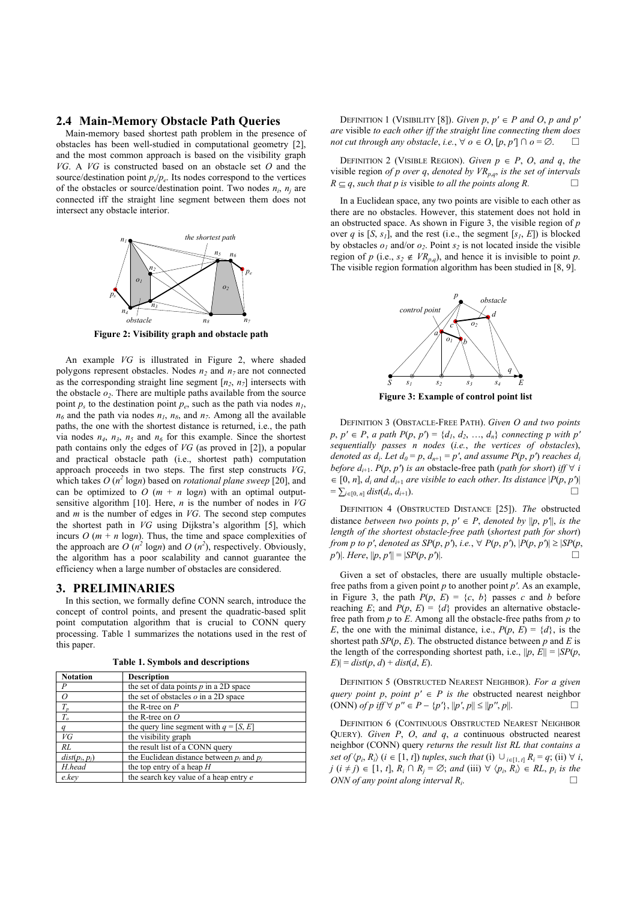## **2.4 Main-Memory Obstacle Path Queries**

Main-memory based shortest path problem in the presence of obstacles has been well-studied in computational geometry [2], and the most common approach is based on the visibility graph *VG*. A *VG* is constructed based on an obstacle set *O* and the source/destination point  $p_s/p_e$ . Its nodes correspond to the vertices of the obstacles or source/destination point. Two nodes  $n_i$ ,  $n_j$  are connected iff the straight line segment between them does not intersect any obstacle interior.



**Figure 2: Visibility graph and obstacle path** 

An example *VG* is illustrated in Figure 2, where shaded polygons represent obstacles. Nodes  $n_2$  and  $n_7$  are not connected as the corresponding straight line segment  $[n_2, n_7]$  intersects with the obstacle  $o_2$ . There are multiple paths available from the source point  $p_s$  to the destination point  $p_e$ , such as the path via nodes  $n_l$ ,  $n_6$  and the path via nodes  $n_1$ ,  $n_8$ , and  $n_7$ . Among all the available paths, the one with the shortest distance is returned, i.e., the path via nodes  $n_4$ ,  $n_3$ ,  $n_5$  and  $n_6$  for this example. Since the shortest path contains only the edges of *VG* (as proved in [2]), a popular and practical obstacle path (i.e., shortest path) computation approach proceeds in two steps. The first step constructs *VG*, which takes  $O(n^2 \log n)$  based on *rotational plane sweep* [20], and can be optimized to  $O(m + n \log n)$  with an optimal outputsensitive algorithm [10]. Here, *n* is the number of nodes in *VG* and *m* is the number of edges in *VG*. The second step computes the shortest path in *VG* using Dijkstra's algorithm [5], which incurs  $O(m + n \log n)$ . Thus, the time and space complexities of the approach are  $O(n^2 \log n)$  and  $O(n^2)$ , respectively. Obviously, the algorithm has a poor scalability and cannot guarantee the efficiency when a large number of obstacles are considered.

#### **3. PRELIMINARIES**

In this section, we formally define CONN search, introduce the concept of control points, and present the quadratic-based split point computation algorithm that is crucial to CONN query processing. Table 1 summarizes the notations used in the rest of this paper.

**Table 1. Symbols and descriptions** 

| <b>Notation</b>  | <b>Description</b>                             |
|------------------|------------------------------------------------|
| P                | the set of data points $p$ in a 2D space       |
| 0                | the set of obstacles $o$ in a 2D space         |
| $T_p$            | the R-tree on $P$                              |
| $T_{o}$          | the R-tree on $O$                              |
| a                | the query line segment with $q = [S, E]$       |
| VG               | the visibility graph                           |
| RL               | the result list of a CONN query                |
| $dist(p_i, p_i)$ | the Euclidean distance between $p_i$ and $p_i$ |
| H.head           | the top entry of a heap $H$                    |
| e.kev            | the search key value of a heap entry e         |

DEFINITION 1 (VISIBILITY [8]). *Given p*,  $p' \in P$  *and O*, *p and p' are* visible *to each other iff the straight line connecting them does not cut through any obstacle, i.e.,*  $\forall$  *o* ∈ *O*, [*p*, *p*<sup>*′*</sup>] ∩ *o* = ∅. □

DEFINITION 2 (VISIBLE REGION). *Given*  $p \in P$ , *O*, and *q*, the visible region *of p over q, denoted by*  $VR_{p,q}$ *, is the set of intervals*  $R \subset a$ , such that p is visible to all the points along R.

In a Euclidean space, any two points are visible to each other as there are no obstacles. However, this statement does not hold in an obstructed space. As shown in Figure 3, the visible region of *p* over *q* is [*S*,  $s<sub>1</sub>$ ], and the rest (i.e., the segment [ $s<sub>1</sub>$ , *E*]) is blocked by obstacles  $o_1$  and/or  $o_2$ . Point  $s_2$  is not located inside the visible region of *p* (i.e.,  $s_2 \notin \textit{VR}_{p,q}$ ), and hence it is invisible to point *p*. The visible region formation algorithm has been studied in [8, 9].



**Figure 3: Example of control point list** 

DEFINITION 3 (OBSTACLE-FREE PATH). *Given O and two points*   $p, p' \in P$ , *a path*  $P(p, p') = \{d_1, d_2, ..., d_n\}$  connecting p with p<sup>*′*</sup> *sequentially passes n nodes* (*i.e.*, *the vertices of obstacles*), *denoted as*  $d_i$ *. Let*  $d_0 = p$ *,*  $d_{n+1} = p'$ *, and assume*  $P(p, p')$  *reaches*  $d_i$ *before d<sub>i+1</sub>. P(p, p') is an obstacle-free path (path for short) iff*  $\forall$  *i*  $\in [0, n], d_i$  *and*  $d_{i+1}$  *are visible to each other. Its distance*  $|P(p, p')|$  $= \sum_{i \in [0, n]} dist(d_i, d_{i+1}).$ 

DEFINITION 4 (OBSTRUCTED DISTANCE [25]). *The* obstructed distance *between two points p, p'*  $\in$  *P, denoted by*  $\|p, p'\|$ *, is the length of the shortest obstacle-free path* (*shortest path for short*) *from p to p<sup><i>'*</sup>, denoted as  $SP(p, p')$ , *i.e.*,  $\forall P(p, p')$ ,  $|P(p, p')| \ge |SP(p, p')|$  $p'$ )|. *Here*,  $||p, p'|| = |SP(p, p')|$ .

Given a set of obstacles, there are usually multiple obstaclefree paths from a given point *p* to another point *p′*. As an example, in Figure 3, the path  $P(p, E) = \{c, b\}$  passes *c* and *b* before reaching *E*; and  $P(p, E) = \{d\}$  provides an alternative obstaclefree path from *p* to *E*. Among all the obstacle-free paths from *p* to *E*, the one with the minimal distance, i.e.,  $P(p, E) = \{d\}$ , is the shortest path  $SP(p, E)$ . The obstructed distance between  $p$  and  $E$  is the length of the corresponding shortest path, i.e.,  $||p, E|| = |SP(p, E)||$  $|E| = dist(p, d) + dist(d, E).$ 

DEFINITION 5 (OBSTRUCTED NEAREST NEIGHBOR). *For a given query point p*, *point p'*  $\in$  *P is the obstructed nearest neighbor* (ONN) of *p* iff ∀  $p'' \in P - \{p'\}, ||p', p|| \le ||p'', p||$ . □

DEFINITION 6 (CONTINUOUS OBSTRUCTED NEAREST NEIGHBOR QUERY). *Given P*, *O*, *and q*, *a* continuous obstructed nearest neighbor (CONN) query *returns the result list RL that contains a set of*  $\langle p_i, R_i \rangle$  (*i* ∈ [1, *t*]) *tuples*, *such that* (i)  $\cup_{i \in [1, t]} R_i = q$ ; (ii)  $\forall i$ , *j* (*i* ≠ *j*) ∈ [1, *t*],  $R_i$  ∩  $R_j = \emptyset$ ; and (iii) ∀  $\langle p_i, R_i \rangle \in RL$ ,  $p_i$  is the *ONN of any point along interval R<sub>i</sub>.*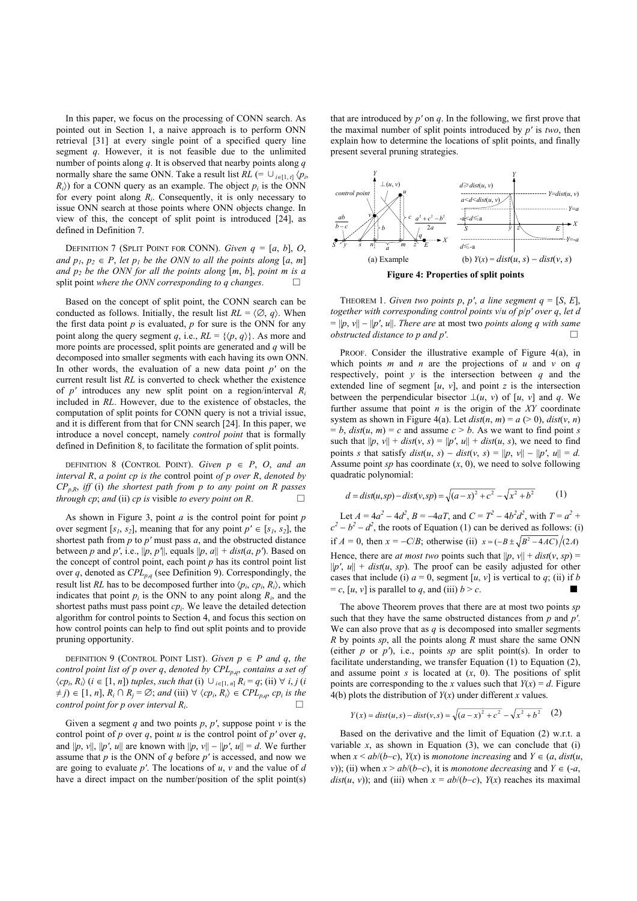In this paper, we focus on the processing of CONN search. As pointed out in Section 1, a naive approach is to perform ONN retrieval [31] at every single point of a specified query line segment *q*. However, it is not feasible due to the unlimited number of points along *q*. It is observed that nearby points along *q* normally share the same ONN. Take a result list  $RL$  (=  $\cup_{i \in [1, t]}$   $\langle p_i, p_i \rangle$  $R_i$ ) for a CONN query as an example. The object  $p_i$  is the ONN for every point along *Ri*. Consequently, it is only necessary to issue ONN search at those points where ONN objects change. In view of this, the concept of split point is introduced [24], as defined in Definition 7.

DEFINITION 7 (SPLIT POINT FOR CONN). *Given*  $q = [a, b]$ , *O*, *and*  $p_1, p_2 \in P$ , let  $p_1$  be the ONN to all the points along [a, m] *and p2 be the ONN for all the points along* [*m*, *b*], *point m is a*  split point *where the ONN corresponding to q changes.* 

Based on the concept of split point, the CONN search can be conducted as follows. Initially, the result list  $RL = \langle \emptyset, q \rangle$ . When the first data point  $p$  is evaluated,  $p$  for sure is the ONN for any point along the query segment *q*, i.e.,  $RL = \{ \langle p, q \rangle \}$ . As more and more points are processed, split points are generated and *q* will be decomposed into smaller segments with each having its own ONN. In other words, the evaluation of a new data point *p′* on the current result list *RL* is converted to check whether the existence of *p′* introduces any new split point on a region/interval *Ri* included in *RL*. However, due to the existence of obstacles, the computation of split points for CONN query is not a trivial issue, and it is different from that for CNN search [24]. In this paper, we introduce a novel concept, namely *control point* that is formally defined in Definition 8, to facilitate the formation of split points.

DEFINITION 8 (CONTROL POINT). *Given*  $p \in P$ , *O*, and an *interval R*, *a point cp is the* control point *of p over R*, *denoted by*   $CP_{p,R}$ *, iff (i) the shortest path from p to any point on R passes through cp*; *and* (ii) *cp is* visible *to every point on R*.  $\Box$ 

As shown in Figure 3, point *a* is the control point for point *p* over segment  $[s_1, s_2]$ , meaning that for any point  $p' \in [s_1, s_2]$ , the shortest path from *p* to *p′* must pass *a*, and the obstructed distance between *p* and *p'*, i.e.,  $||p, p'||$ , equals  $||p, a|| + dist(a, p')$ . Based on the concept of control point, each point  $p$  has its control point list over *q*, denoted as  $\text{CPL}_{p,q}$  (see Definition 9). Correspondingly, the result list *RL* has to be decomposed further into  $\langle p_i, cp_i, R_i \rangle$ , which indicates that point  $p_i$  is the ONN to any point along  $R_i$ , and the shortest paths must pass point *cpi*. We leave the detailed detection algorithm for control points to Section 4, and focus this section on how control points can help to find out split points and to provide pruning opportunity.

DEFINITION 9 (CONTROL POINT LIST). *Given*  $p \in P$  *and q, the control point list of p over q*, *denoted by CPLp*,*q*, *contains a set of*   $\langle cp_i, R_i \rangle$  (*i* ∈ [1, *n*]) *tuples*, *such that* (i) ∪<sub>*i*∈[1, *n*]  $R_i = q$ ; (ii) ∀ *i*, *j* (*i*</sub>  $\neq j$ )  $\in$   $[1, n]$ ,  $R_i \cap R_j = \emptyset$ ; and  $(iii) \forall \langle cp_i, R_i \rangle \in CPL_{p,q}, cp_i$  is the *control point for p over interval*  $R_i$ .

Given a segment *q* and two points *p*, *p'*, suppose point *v* is the control point of *p* over *q*, point *u* is the control point of *p'* over *q*, and  $||p, v||, ||p', u||$  are known with  $||p, v|| - ||p', u|| = d$ . We further assume that *p* is the ONN of *q* before *p′* is accessed, and now we are going to evaluate *p′*. The locations of *u*, *v* and the value of *d* have a direct impact on the number/position of the split point(s)

that are introduced by *p′* on *q*. In the following, we first prove that the maximal number of split points introduced by *p′* is *two*, then explain how to determine the locations of split points, and finally present several pruning strategies.



THEOREM 1. *Given two points p, p', a line segment*  $q = [S, E]$ *, together with corresponding control points v*/*u of p*/*p′ over q*, *let d*   $= ||p, v|| - ||p', u||$ . There are at most two *points along q with same obstructed distance to p and p<sup>'</sup>.* □

PROOF. Consider the illustrative example of Figure 4(a), in which points *m* and *n* are the projections of *u* and *v* on *q* respectively, point *y* is the intersection between *q* and the extended line of segment  $[u, v]$ , and point *z* is the intersection between the perpendicular bisector  $\bot(u, v)$  of [*u*, *v*] and *q*. We further assume that point *n* is the origin of the *XY* coordinate system as shown in Figure 4(a). Let  $dist(n, m) = a$  (> 0),  $dist(v, n)$  $= b$ , *dist*(*u*, *m*) = *c* and assume  $c > b$ . As we want to find point *s* such that  $||p, v|| + dist(v, s) = ||p', u|| + dist(u, s)$ , we need to find points *s* that satisfy  $dist(u, s) - dist(v, s) = ||p, v|| - ||p', u|| = d$ . Assume point  $sp$  has coordinate  $(x, 0)$ , we need to solve following quadratic polynomial:

$$
d = dist(u, sp) - dist(v, sp) = \sqrt{(a - x)^2 + c^2} - \sqrt{x^2 + b^2}
$$
 (1)

Let  $A = 4a^2 - 4d^2$ ,  $B = -4aT$ , and  $C = T^2 - 4b^2d^2$ , with  $T = a^2 +$  $c^2 - b^2 - d^2$ , the roots of Equation (1) can be derived as follows: (i) if *A* = 0, then  $x = -C/B$ ; otherwise (ii)  $x = (-B \pm \sqrt{B^2 - 4AC})/(2A)$ Hence, there are *at most two* points such that  $||p, v|| + dist(v, sp) =$  $||p'$ ,  $u|| + dist(u, sp)$ . The proof can be easily adjusted for other cases that include (i)  $a = 0$ , segment  $[u, v]$  is vertical to  $q$ ; (ii) if *b*  $= c$ , [u, v] is parallel to q, and (iii)  $b > c$ .

The above Theorem proves that there are at most two points *sp* such that they have the same obstructed distances from *p* and *p′*. We can also prove that as  $q$  is decomposed into smaller segments *R* by points *sp*, all the points along *R* must share the same ONN (either *p* or *p*<sup> $\prime$ </sup>), i.e., points *sp* are split point(s). In order to facilitate understanding, we transfer Equation (1) to Equation (2), and assume point  $s$  is located at  $(x, 0)$ . The positions of split points are corresponding to the *x* values such that  $Y(x) = d$ . Figure 4(b) plots the distribution of  $Y(x)$  under different *x* values.

$$
Y(x) = dist(u, s) - dist(v, s) = \sqrt{(a - x)^2 + c^2} - \sqrt{x^2 + b^2} \tag{2}
$$

Based on the derivative and the limit of Equation (2) w.r.t. a variable  $x$ , as shown in Equation  $(3)$ , we can conclude that  $(i)$ when  $x \le ab/(b-c)$ ,  $Y(x)$  is *monotone increasing* and  $Y \in (a, dist(u,$ *v*)); (ii) when  $x > ab/(b-c)$ , it is *monotone decreasing* and  $Y \in (-a,$ *dist*(*u*, *v*)); and (iii) when  $x = ab/(b-c)$ ,  $Y(x)$  reaches its maximal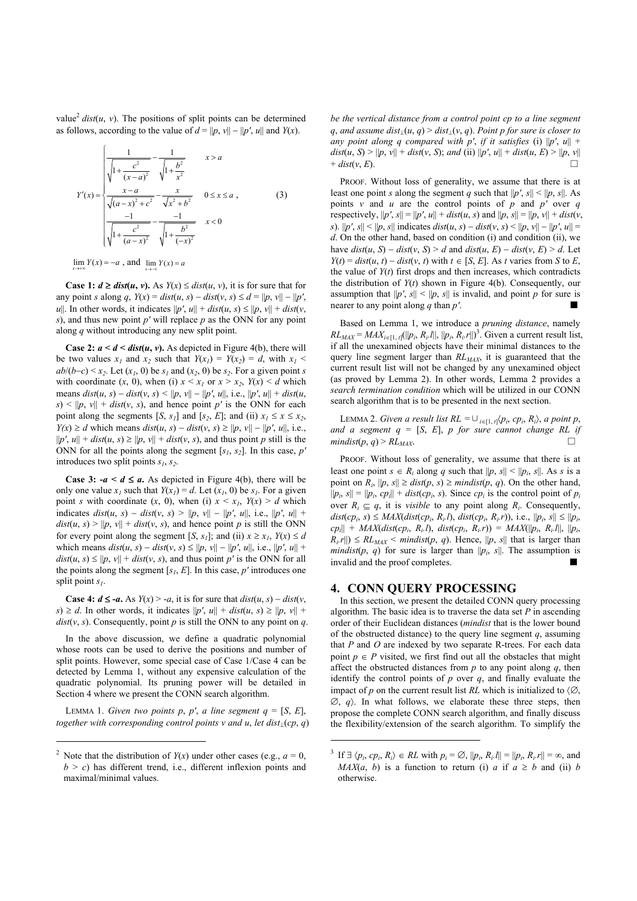value<sup>2</sup>  $dist(u, v)$ . The positions of split points can be determined as follows, according to the value of  $d = ||p, v|| - ||p', u||$  and  $Y(x)$ .

$$
Y'(x) = \begin{cases} \frac{1}{\sqrt{1 + \frac{c^2}{(x-a)^2}}} - \frac{1}{\sqrt{1 + \frac{b^2}{x^2}}} & x > a\\ \frac{x-a}{\sqrt{(a-x)^2 + c^2}} - \frac{x}{\sqrt{x^2 + b^2}} & 0 \le x \le a \ ,\\ \frac{-1}{\sqrt{1 + \frac{c^2}{(a-x)^2}}} - \frac{-1}{\sqrt{1 + \frac{b^2}{(-x)^2}}} & x < 0 \end{cases}
$$
(3)

 $\lim_{x \to \infty} Y(x) = -a$ , and  $\lim_{x \to -\infty} Y(x) = a$ 

**Case 1:** *d* ≥ *dist*(*u*, *v*). As *Y*(*x*) ≤ *dist*(*u*, *v*), it is for sure that for any point *s* along *q*,  $Y(x) = dist(u, s) - dist(v, s) \le d = ||p, v|| - ||p', v||$ *u*||. In other words, it indicates  $||p', u|| + dist(u, s) \le ||p, v|| + dist(v, s)$ *s*), and thus new point *p′* will replace *p* as the ONN for any point along *q* without introducing any new split point.

**Case 2:**  $a < d <$  *dist*(*u*, *v*). As depicted in Figure 4(*b*), there will be two values  $x_1$  and  $x_2$  such that  $Y(x_1) = Y(x_2) = d$ , with  $x_1$  $ab/(b-c) \le x_2$ . Let  $(x_1, 0)$  be  $s_1$  and  $(x_2, 0)$  be  $s_2$ . For a given point *s* with coordinate  $(x, 0)$ , when (i)  $x \leq x_1$  or  $x \geq x_2$ ,  $Y(x) \leq d$  which means  $dist(u, s) - dist(v, s) \le ||p, v|| - ||p', u||, i.e., ||p', u|| + dist(u, s)$  $s$ ) < ||p, v|| + dist(*v*, *s*), and hence point p' is the ONN for each point along the segments  $[S, s_1]$  and  $[s_2, E]$ ; and (ii)  $x_1 \le x \le x_2$ , *Y(x)* ≥ *d* which means  $dist(u, s) - dist(v, s) \ge ||p, v|| - ||p', u||$ , i.e.,  $||p', u|| + dist(u, s) \ge ||p, v|| + dist(v, s)$ , and thus point *p* still is the ONN for all the points along the segment  $[s_1, s_2]$ . In this case, *p*<sup>*′*</sup> introduces two split points  $s_1$ ,  $s_2$ .

**Case 3:**  $-a \leq d \leq a$ . As depicted in Figure 4(b), there will be only one value  $x_1$  such that  $Y(x_1) = d$ . Let  $(x_1, 0)$  be  $s_1$ . For a given point *s* with coordinate  $(x, 0)$ , when (i)  $x \leq x_i$ ,  $Y(x) \geq d$  which indicates *dist*(*u*, *s*) − *dist*(*v*, *s*) *>* ||*p*, *v*|| − ||*p′*, *u*||, i.e., ||*p′*, *u*|| +  $dist(u, s) > ||p, v|| + dist(v, s)$ , and hence point *p* is still the ONN for every point along the segment [*S*,  $s<sub>1</sub>$ ]; and (ii)  $x \ge x<sub>1</sub>$ ,  $Y(x) \le d$ which means  $dist(u, s) - dist(v, s) \le ||p, v|| - ||p', u||,$  i.e.,  $||p', u|| +$  $dist(u, s) \le ||p, v|| + dist(v, s)$ , and thus point *p'* is the ONN for all the points along the segment  $[s<sub>i</sub>, E]$ . In this case, *p'* introduces one split point *s1*.

**Case 4:**  $d \leq -a$ . As  $Y(x) > -a$ , it is for sure that  $dist(u, s) - dist(v, s)$  $s \ge d$ . In other words, it indicates  $||p', u|| + dist(u, s) \ge ||p, v|| +$ *dist*( $v$ ,  $s$ ). Consequently, point  $p$  is still the ONN to any point on  $q$ .

In the above discussion, we define a quadratic polynomial whose roots can be used to derive the positions and number of split points. However, some special case of Case 1/Case 4 can be detected by Lemma 1, without any expensive calculation of the quadratic polynomial. Its pruning power will be detailed in Section 4 where we present the CONN search algorithm.

LEMMA 1. *Given two points p, p', a line segment*  $q = [S, E]$ *, together with corresponding control points v and u*, *let dist*⊥(*cp*, *q*)

<u>.</u>

*be the vertical distance from a control point cp to a line segment q*, *and assume dist*⊥(*u*, *q*) > *dist*⊥(*v*, *q*). *Point p for sure is closer to any point along q compared with p', if it satisfies (i)*  $||p', u|| +$ *dist*(*u*, *S*) > ||*p*, *v*|| + *dist*(*v*, *S*); *and* (ii) ||*p*<sup>*'*</sup>, *u*|| + *dist*(*u*, *E*) > ||*p*, *v*||  $+$  *dist*(*v*, *E*).

PROOF. Without loss of generality, we assume that there is at least one point *s* along the segment *q* such that  $||p', s|| < ||p, s||$ . As points *v* and *u* are the control points of *p* and *p'* over *q* respectively,  $||p', s|| = ||p', u|| + dist(u, s)$  and  $||p, s|| = ||p, v|| + dist(v,$ *s*).  $||p', s|| < ||p, s||$  indicates  $dist(u, s) - dist(v, s) < ||p, v|| - ||p', u||$ *d*. On the other hand, based on condition (i) and condition (ii), we have  $dist(u, S) - dist(v, S) > d$  and  $dist(u, E) - dist(v, E) > d$ . Let  $Y(t) = dist(u, t) - dist(v, t)$  with  $t \in [S, E]$ . As *t* varies from *S* to *E*, the value of  $Y(t)$  first drops and then increases, which contradicts the distribution of *Y*(*t*) shown in Figure 4(b). Consequently, our assumption that  $||p'$ ,  $s|| < ||p$ ,  $s||$  is invalid, and point *p* for sure is nearer to any point along  $q$  than  $p'$ .

Based on Lemma 1, we introduce a *pruning distance*, namely  $RL_{MAX} = MAX_{i \in [1, t]}(||p_i, R_i.||, ||p_i, R_i.||)^3$ . Given a current result list, if all the unexamined objects have their minimal distances to the query line segment larger than  $RL_{MAX}$ , it is guaranteed that the current result list will not be changed by any unexamined object (as proved by Lemma 2). In other words, Lemma 2 provides a *search termination condition* which will be utilized in our CONN search algorithm that is to be presented in the next section.

LEMMA 2. *Given a result list RL* =  $\cup_{i \in [1, t]} \langle p_i, cp_i, R_i \rangle$ , *a point p*, *and a segment q* = [*S*, *E*], *p for sure cannot change RL if*   $mindist(p, q) > RL_{MAX}$ .

PROOF. Without loss of generality, we assume that there is at least one point  $s \in R_i$  along q such that  $||p, s|| < ||p_i, s||$ . As s is a point on  $R_i$ ,  $||p, s|| \geq \text{dist}(p, s) \geq \text{mindist}(p, q)$ . On the other hand,  $||p_i, s|| = ||p_i, cp_i|| + dist(ep_i, s)$ . Since  $cp_i$  is the control point of  $p_i$ over  $R_i \subseteq q$ , it is *visible* to any point along  $R_i$ . Consequently,  $dist(cp_i, s)$  ≤ *MAX*( $dist(cp_i, R_i, l)$ ,  $dist(cp_i, R_i, r)$ ), i.e.,  $||p_i, s|| ≤ ||p_i$ ,  $c p_i$ || + *MAX*(*dist*(*cp<sub>i</sub>*, *R<sub>i</sub>.l*), *dist*(*cp<sub>i</sub>*, *R<sub>i</sub>.r*)) = *MAX*(|| $p_i$ , *R<sub>i</sub>.l*||, || $p_i$ ,  $R_i$ r||)  $\leq R L_{MAX}$  < *mindist*(*p*, *q*). Hence, ||*p*, *s*|| that is larger than *mindist*( $p$ ,  $q$ ) for sure is larger than  $||p_i$ ,  $s||$ . The assumption is invalid and the proof completes.

#### **4. CONN QUERY PROCESSING**

1

In this section, we present the detailed CONN query processing algorithm. The basic idea is to traverse the data set *P* in ascending order of their Euclidean distances (*mindist* that is the lower bound of the obstructed distance) to the query line segment *q*, assuming that *P* and *O* are indexed by two separate R-trees. For each data point  $p \in P$  visited, we first find out all the obstacles that might affect the obstructed distances from  $p$  to any point along  $q$ , then identify the control points of *p* over *q*, and finally evaluate the impact of *p* on the current result list *RL* which is initialized to  $\langle \emptyset, \rangle$  $\emptyset$ , *q*). In what follows, we elaborate these three steps, then propose the complete CONN search algorithm, and finally discuss the flexibility/extension of the search algorithm. To simplify the

<sup>&</sup>lt;sup>2</sup> Note that the distribution of *Y*(*x*) under other cases (e.g.,  $a = 0$ ,  $b > c$ ) has different trend, i.e., different inflexion points and maximal/minimal values.

<sup>&</sup>lt;sup>3</sup> If  $\exists \langle p_i, cp_i, R_i \rangle \in RL$  with  $p_i = \emptyset$ ,  $||p_i, R_i|| = ||p_i, R_i|r|| = \infty$ , and *MAX*(*a*, *b*) is a function to return (i) *a* if  $a \ge b$  and (ii) *b* otherwise.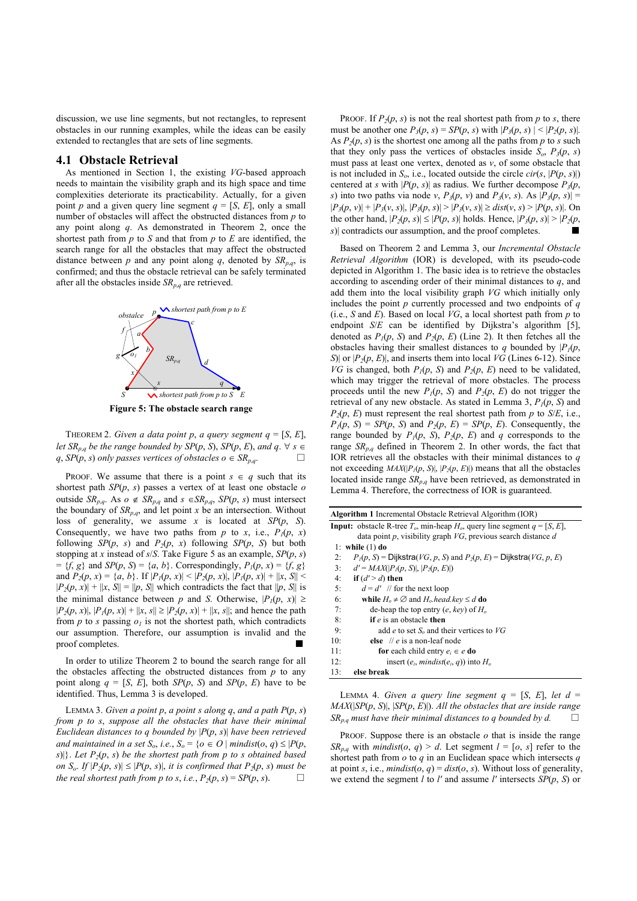discussion, we use line segments, but not rectangles, to represent obstacles in our running examples, while the ideas can be easily extended to rectangles that are sets of line segments.

#### **4.1 Obstacle Retrieval**

As mentioned in Section 1, the existing *VG*-based approach needs to maintain the visibility graph and its high space and time complexities deteriorate its practicability. Actually, for a given point *p* and a given query line segment  $q = [S, E]$ , only a small number of obstacles will affect the obstructed distances from *p* to any point along *q*. As demonstrated in Theorem 2, once the shortest path from *p* to *S* and that from *p* to *E* are identified, the search range for all the obstacles that may affect the obstructed distance between *p* and any point along *q*, denoted by  $SR_{p,q}$ , is confirmed; and thus the obstacle retrieval can be safely terminated after all the obstacles inside  $SR_{p,q}$  are retrieved.



**Figure 5: The obstacle search range** 

THEOREM 2. *Given a data point p, a query segment*  $q = [S, E]$ *, let*  $SR_{p,q}$  *be the range bounded by SP(p, S), SP(p, E), and*  $q \in \mathcal{A}$  *s* ∈  $q$ , *SP*( $p$ , *s*) *only passes vertices of obstacles*  $o \in SR_{p,q}$ *.* 

PROOF. We assume that there is a point  $s \in q$  such that its shortest path *SP*(*p*, *s*) passes a vertex of at least one obstacle *o* outside *SR<sub>p,q</sub>*. As *o* ∉ *SR<sub>p,q</sub>* and *s* ∈ *SR<sub>p,q</sub>*, *SP*(*p*, *s*) must intersect the boundary of  $SR_{p,q}$ , and let point *x* be an intersection. Without loss of generality, we assume *x* is located at *SP*(*p*, *S*). Consequently, we have two paths from *p* to *x*, i.e.,  $P_1(p, x)$ following *SP*(*p*, *s*) and *P*<sub>2</sub>(*p*, *x*) following *SP*(*p*, *S*) but both stopping at *x* instead of *s*/*S*. Take Figure 5 as an example, *SP*(*p*, *s*)  $= {f, g}$  and *SP*(*p*, *S*) = {*a*, *b*}. Correspondingly,  $P_1(p, x) = {f, g}$ } and  $P_2(p, x) = \{a, b\}$ . If  $|P_1(p, x)| \le |P_2(p, x)|$ ,  $|P_1(p, x)| + |x, S| \le$  $|P_2(p, x)| + |x, S| = ||p, S||$  which contradicts the fact that  $||p, S||$  is the minimal distance between *p* and *S*. Otherwise,  $|P_1(p, x)| \ge$  $|P_2(p, x)|, |P_1(p, x)| + |x, s| \ge |P_2(p, x)| + |x, s|$ ; and hence the path from  $p$  to  $s$  passing  $o<sub>l</sub>$  is not the shortest path, which contradicts our assumption. Therefore, our assumption is invalid and the proof completes.

In order to utilize Theorem 2 to bound the search range for all the obstacles affecting the obstructed distances from *p* to any point along  $q = [S, E]$ , both  $SP(p, S)$  and  $SP(p, E)$  have to be identified. Thus, Lemma 3 is developed.

LEMMA 3. *Given a point p*, *a point s along q*, *and a path P*(*p*, *s*) *from p to s*, *suppose all the obstacles that have their minimal Euclidean distances to q bounded by* |*P*(*p*, *s*)| *have been retrieved and maintained in a set*  $S_o$ , *i.e.*,  $S_o = \{o \in O \mid \text{mindist}(o, q) \leq |P(p, q)|\}$  $s$ )|}. Let  $P_2(p, s)$  be the shortest path from p to s obtained based *on*  $S_o$ . *If*  $|P_2(p, s)| \leq |P(p, s)|$ , *it is confirmed that*  $P_2(p, s)$  *must be the real shortest path from p to s, i.e.,*  $P_2(p, s) = SP(p, s)$ .  $\Box$ 

PROOF. If  $P_2(p, s)$  is not the real shortest path from p to s, there must be another one  $P_3(p, s) = SP(p, s)$  with  $|P_3(p, s)| \le |P_2(p, s)|$ . As  $P_2(p, s)$  is the shortest one among all the paths from p to s such that they only pass the vertices of obstacles inside  $S_0$ ,  $P_3(p, s)$ must pass at least one vertex, denoted as *v*, of some obstacle that is not included in  $S_0$ , i.e., located outside the circle *cir(s, |P(p, s)|*) centered at *s* with  $|P(p, s)|$  as radius. We further decompose  $P_3(p, s)$ *s*) into two paths via node *v*,  $P_3(p, v)$  and  $P_3(v, s)$ . As  $|P_3(p, s)| =$  $|P_3(p, v)| + |P_3(v, s)|, |P_3(p, s)| > |P_3(v, s)| \geq dist(v, s) > |P(p, s)|.$  On the other hand,  $|P_2(p, s)| \le |P(p, s)|$  holds. Hence,  $|P_3(p, s)| > |P_2(p, s)|$ *s*)| contradicts our assumption, and the proof completes.

Based on Theorem 2 and Lemma 3, our *Incremental Obstacle Retrieval Algorithm* (IOR) is developed, with its pseudo-code depicted in Algorithm 1. The basic idea is to retrieve the obstacles according to ascending order of their minimal distances to *q*, and add them into the local visibility graph *VG* which initially only includes the point *p* currently processed and two endpoints of *q* (i.e., *S* and *E*). Based on local *VG*, a local shortest path from *p* to endpoint *S/E* can be identified by Dijkstra's algorithm [5], denoted as  $P_1(p, S)$  and  $P_2(p, E)$  (Line 2). It then fetches all the obstacles having their smallest distances to *q* bounded by  $|P_1(p, \cdot)|$ *S*)| or  $|P_2(p, E)|$ , and inserts them into local *VG* (Lines 6-12). Since *VG* is changed, both  $P_1(p, S)$  and  $P_2(p, E)$  need to be validated, which may trigger the retrieval of more obstacles. The process proceeds until the new  $P_1(p, S)$  and  $P_2(p, E)$  do not trigger the retrieval of any new obstacle. As stated in Lemma 3,  $P_1(p, S)$  and  $P_2(p, E)$  must represent the real shortest path from *p* to *S/E*, i.e.,  $P_1(p, S) = SP(p, S)$  and  $P_2(p, E) = SP(p, E)$ . Consequently, the range bounded by  $P_1(p, S)$ ,  $P_2(p, E)$  and  $q$  corresponds to the range  $SR_{p,q}$  defined in Theorem 2. In other words, the fact that IOR retrieves all the obstacles with their minimal distances to *q* not exceeding  $MAX(|P_1(p, S)|, |P_2(p, E)|)$  means that all the obstacles located inside range *SRp*,*q* have been retrieved, as demonstrated in Lemma 4. Therefore, the correctness of IOR is guaranteed.

| <b>Algorithm 1</b> Incremental Obstacle Retrieval Algorithm (IOR)                        |                                                                                         |  |  |
|------------------------------------------------------------------------------------------|-----------------------------------------------------------------------------------------|--|--|
| <b>Input:</b> obstacle R-tree $T_o$ , min-heap $H_o$ , query line segment $q = [S, E]$ , |                                                                                         |  |  |
| data point $p$ , visibility graph $VG$ , previous search distance $d$                    |                                                                                         |  |  |
| while $(1)$ do<br>1:                                                                     |                                                                                         |  |  |
| 2:                                                                                       | $P_1(p, S)$ = Dijkstra( <i>VG</i> , p, S) and $P_2(p, E)$ = Dijkstra( <i>VG</i> , p, E) |  |  |
| 3:                                                                                       | $d' = MAX( P_1(p, S) ,  P_2(p, E) )$                                                    |  |  |
| 4:                                                                                       | if $(d' > d)$ then                                                                      |  |  |
| 5:                                                                                       | $d = d'$ // for the next loop                                                           |  |  |
| 6:                                                                                       | while $H_0 \neq \emptyset$ and $H_0$ head key $\leq d$ do                               |  |  |
| 7:                                                                                       | de-heap the top entry $(e, kev)$ of $H_0$                                               |  |  |
| 8:                                                                                       | <b>if</b> e is an obstacle <b>then</b>                                                  |  |  |
| 9:                                                                                       | add e to set $Sa$ and their vertices to VG                                              |  |  |
| 10:                                                                                      | else // $e$ is a non-leaf node                                                          |  |  |
| 11:                                                                                      | <b>for</b> each child entry $e_i \in e$ <b>do</b>                                       |  |  |
| 12:                                                                                      | insert ( $e_i$ , mindist( $e_i$ , q)) into $H_0$                                        |  |  |
| 13:                                                                                      | else break                                                                              |  |  |
|                                                                                          |                                                                                         |  |  |

LEMMA 4. *Given a query line segment*  $q = [S, E]$ *, let*  $d =$ *MAX*(|*SP*(*p*, *S*)|, |*SP*(*p*, *E*)|). *All the obstacles that are inside range*   $SR_{p,q}$  *must have their minimal distances to q bounded by d.*  $\Box$ 

PROOF. Suppose there is an obstacle *o* that is inside the range *SR<sub>pa</sub>* with *mindist*(*o*, *q*) > *d*. Let segment  $l = [o, s]$  refer to the shortest path from *o* to *q* in an Euclidean space which intersects *q*  at point *s*, i.e., *mindist*( $o$ ,  $q$ ) = *dist*( $o$ , *s*). Without loss of generality, we extend the segment *l* to *l′* and assume *l′* intersects *SP*(*p*, *S*) or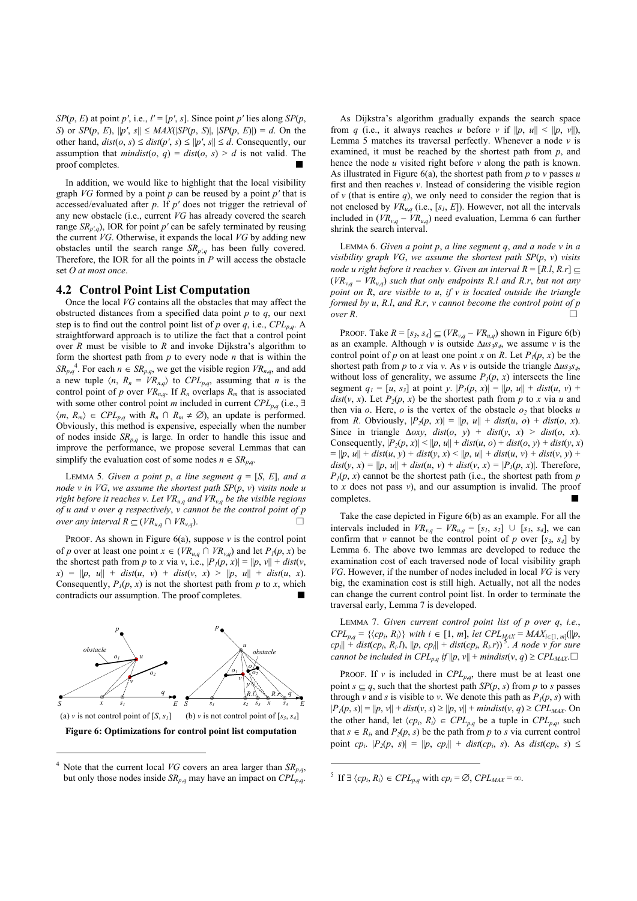*SP*( $p$ ,  $E$ ) at point  $p'$ , i.e.,  $l' = [p', s]$ . Since point  $p'$  lies along *SP*( $p$ , *S*) or *SP*(*p*, *E*),  $||p'$ , *s* $|| \leq MAX(|SP(p, S)|, |SP(p, E)|) = d$ . On the other hand,  $dist(o, s) \leq dist(p', s) \leq ||p', s|| \leq d$ . Consequently, our assumption that *mindist*( $o$ ,  $q$ ) = *dist*( $o$ ,  $s$ ) > *d* is not valid. The proof completes.

In addition, we would like to highlight that the local visibility graph *VG* formed by a point *p* can be reused by a point *p′* that is accessed/evaluated after *p*. If *p′* does not trigger the retrieval of any new obstacle (i.e., current *VG* has already covered the search range  $SR_{p',q}$ ), IOR for point *p*<sup>*'*</sup> can be safely terminated by reusing the current *VG*. Otherwise, it expands the local *VG* by adding new obstacles until the search range *SRp′,q* has been fully covered. Therefore, the IOR for all the points in  $P$  will access the obstacle set *O at most once*.

#### **4.2 Control Point List Computation**

Once the local *VG* contains all the obstacles that may affect the obstructed distances from a specified data point *p* to *q*, our next step is to find out the control point list of *p* over *q*, i.e.,  $\mathit{CPL}_{p,q}$ . A straightforward approach is to utilize the fact that a control point over  $\overrightarrow{R}$  must be visible to  $\overrightarrow{R}$  and invoke Dijkstra's algorithm to form the shortest path from *p* to every node *n* that is within the  $SR_{p,q}$ <sup>4</sup>. For each  $n \in SR_{p,q}$ , we get the visible region  $VR_{n,q}$ , and add a new tuple  $\langle n, R_n = VR_{n,q} \rangle$  to  $CPL_{p,q}$ , assuming that *n* is the control point of *p* over  $VR_{n,q}$ . If  $R_n$  overlaps  $R_m$  that is associated with some other control point *m* included in current  $\text{CPL}_{p,q}$  (i.e.,  $\exists$  $\langle m, R_m \rangle \in CPL_{p,q}$  with  $R_n \cap R_m \neq \emptyset$ , an update is performed. Obviously, this method is expensive, especially when the number of nodes inside  $SR_{p,q}$  is large. In order to handle this issue and improve the performance, we propose several Lemmas that can simplify the evaluation cost of some nodes  $n \in SR_{p,q}$ .

LEMMA 5. *Given a point p, a line segment*  $q = [S, E]$ *, and a node v in VG*, *we assume the shortest path SP*(*p*, *v*) *visits node u right before it reaches v*. *Let VRu*,*q and VRv*,*q be the visible regions of u and v over q respectively*, *v cannot be the control point of p over any interval R*  $\subseteq$  (*VR*<sub>*u*,*q*</sub> ∩ *VR*<sub>*v*,*g*</sub>). □

PROOF. As shown in Figure  $6(a)$ , suppose  $\nu$  is the control point of *p* over at least one point  $x \in (VR_{u,q} \cap VR_{v,q})$  and let  $P_1(p, x)$  be the shortest path from *p* to *x* via *v*, i.e.,  $|P_1(p, x)| = ||p, v|| + dist(v,$  $f(x) = ||p, u|| + dist(u, v) + dist(v, x) > ||p, u|| + dist(u, x).$ Consequently,  $P_1(p, x)$  is not the shortest path from  $p$  to  $x$ , which contradicts our assumption. The proof completes.



1

As Dijkstra's algorithm gradually expands the search space from *q* (i.e., it always reaches *u* before *v* if  $||p, u|| < ||p, v||$ ), Lemma 5 matches its traversal perfectly. Whenever a node  $\nu$  is examined, it must be reached by the shortest path from *p*, and hence the node *u* visited right before *v* along the path is known. As illustrated in Figure 6(a), the shortest path from *p* to *v* passes *u* first and then reaches *v*. Instead of considering the visible region of  $\nu$  (that is entire  $q$ ), we only need to consider the region that is not enclosed by  $VR_{u,q}$  (i.e., [ $s_1$ ,  $E$ ]). However, not all the intervals included in  $(VR_{v,q} - VR_{u,q})$  need evaluation, Lemma 6 can further shrink the search interval.

LEMMA 6. *Given a point p*, *a line segment q*, *and a node v in a visibility graph VG*, *we assume the shortest path SP*(*p*, *v*) *visits node u right before it reaches v. Given an interval*  $R = [R, l, R, r] \subseteq$  $(VR_{v,q} - VR_{u,q})$  such that only endpoints R.l and R.r, but not any *point on R*, *are visible to u*, *if v is located outside the triangle formed by u*, *R.l*, *and R.r*, *v cannot become the control point of p*   $over R$ .  $\Box$ 

PROOF. Take  $R = [s_3, s_4] \subseteq (VR_{v,q} - VR_{u,q})$  shown in Figure 6(b) as an example. Although *v* is outside  $\Delta u s_3 s_4$ , we assume *v* is the control point of *p* on at least one point *x* on *R*. Let  $P_1(p, x)$  be the shortest path from *p* to *x* via *v*. As *v* is outside the triangle  $\Delta u s_3 s_4$ , without loss of generality, we assume  $P_1(p, x)$  intersects the line segment  $q_1 = [u, s_3]$  at point *y*.  $|P_1(p, x)| = ||p, u|| + dist(u, v) +$  $dist(v, x)$ . Let  $P_2(p, x)$  be the shortest path from *p* to *x* via *u* and then via  $\sigma$ . Here,  $\sigma$  is the vertex of the obstacle  $\sigma_2$  that blocks  $u$ from *R*. Obviously,  $|P_2(p, x)| = ||p, u|| + dist(u, o) + dist(o, x)$ . Since in triangle  $\Delta$ *oxy*, *dist*(*o*, *y*) + *dist*(*y*, *x*) > *dist*(*o*, *x*). Consequently,  $|P_2(p, x)| \le ||p, u|| + dist(u, o) + dist(o, y) + dist(y, x)$  $= ||p, u|| + dist(u, y) + dist(y, x) < ||p, u|| + dist(u, v) + dist(v, y) +$  $dist(y, x) = ||p, u|| + dist(u, v) + dist(v, x) = |P_1(p, x)|$ . Therefore,  $P_1(p, x)$  cannot be the shortest path (i.e., the shortest path from *p* to  $x$  does not pass  $v$ ), and our assumption is invalid. The proof completes.

Take the case depicted in Figure 6(b) as an example. For all the intervals included in  $VR_{v,q} - VR_{u,q} = [s_1, s_2] \cup [s_3, s_4]$ , we can confirm that *v* cannot be the control point of *p* over  $[s_3, s_4]$  by Lemma 6. The above two lemmas are developed to reduce the examination cost of each traversed node of local visibility graph *VG*. However, if the number of nodes included in local *VG* is very big, the examination cost is still high. Actually, not all the nodes can change the current control point list. In order to terminate the traversal early, Lemma 7 is developed.

LEMMA 7. *Given current control point list of p over q*, *i.e.*,  $CPL_{p,q} = \{\langle cp_i, R_i \rangle\}$  with  $i \in [1, m]$ , let  $CPL_{MAX} = MAX_{i \in [1, m]}(||p,$  $c p_i || + dist(c p_i, R_i, l), ||p, cp_i|| + dist(c p_i, R_i, r))$ <sup>5</sup>. *A node v for sure cannot be included in CPL<sub>p,q</sub> if*  $||p, v|| +$  *mindist*(*v*, *q*) ≥ CPL<sub>MAX</sub>. $\Box$ 

PROOF. If *v* is included in  $\mathbb{C}PL_{p,q}$ , there must be at least one point  $s \subseteq q$ , such that the shortest path  $SP(p, s)$  from *p* to *s* passes through *v* and *s* is visible to *v*. We denote this path as  $P_1(p, s)$  with  $|P_1(p, s)| = ||p, v|| + dist(v, s) \ge ||p, v|| + mindist(v, q) \geq CPL_{MAX}$ . On the other hand, let  $\langle cp_i, R_i \rangle \in CPL_{p,q}$  be a tuple in  $CPL_{p,q}$ , such that  $s \in R_i$ , and  $P_2(p, s)$  be the path from p to *s* via current control point *cp<sub>i</sub>*.  $|P_2(p, s)| = ||p, cp_i|| + dist (cp_i, s)$ . As *dist*(*cp<sub>i</sub>*, *s*) ≤

1

<sup>4</sup> Note that the current local *VG* covers an area larger than  $SR_{p,q}$ , but only those nodes inside  $SR_{p,q}$  may have an impact on  $CPL_{p,q}^{\uparrow}$ .

<sup>&</sup>lt;sup>5</sup> If  $\exists \langle cp_i, R_i \rangle \in CPL_{p,q}$  with  $cp_i = \emptyset$ ,  $CPL_{MAX} = \infty$ .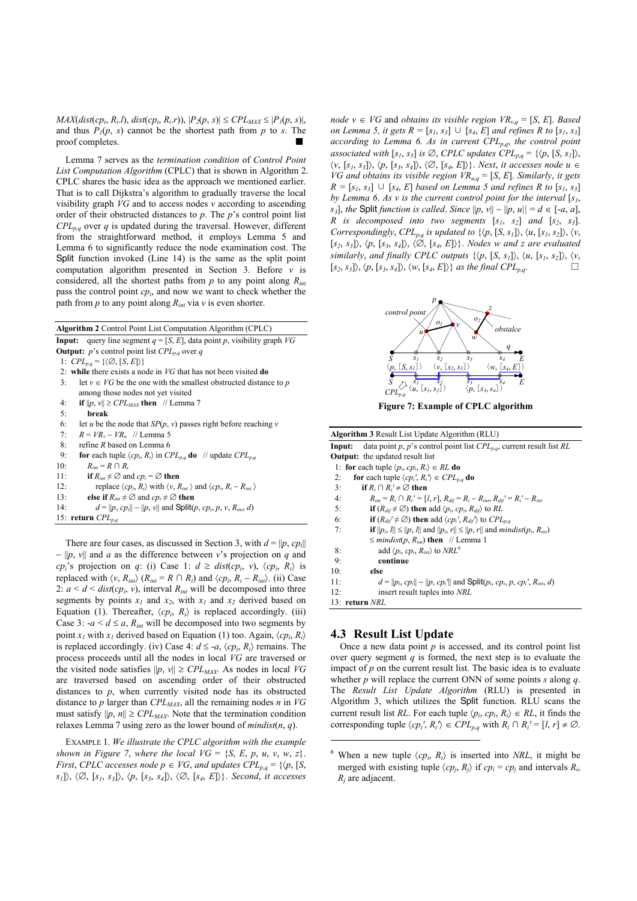*MAX*(*dist*(*cp<sub>i</sub>*, *R<sub>i</sub>*.*l*), *dist*(*cp<sub>i</sub>*, *R<sub>i</sub>*.*r*)),  $|P_2(p, s)| \leq CPL_{MAX} \leq |P_1(p, s)|$ , and thus  $P_1(p, s)$  cannot be the shortest path from  $p$  to  $s$ . The proof completes.

Lemma 7 serves as the *termination condition* of *Control Point List Computation Algorithm* (CPLC) that is shown in Algorithm 2. CPLC shares the basic idea as the approach we mentioned earlier. That is to call Dijkstra's algorithm to gradually traverse the local visibility graph *VG* and to access nodes *v* according to ascending order of their obstructed distances to *p*. The *p*'s control point list  $CPL_{p,q}$  over *q* is updated during the traversal. However, different from the straightforward method, it employs Lemma 5 and Lemma 6 to significantly reduce the node examination cost. The Split function invoked (Line 14) is the same as the split point computation algorithm presented in Section 3. Before *v* is considered, all the shortest paths from *p* to any point along *Rint* pass the control point *cpi*, and now we want to check whether the path from  $p$  to any point along  $R_{int}$  via  $v$  is even shorter.

**Algorithm 2** Control Point List Computation Algorithm (CPLC)

- **Input:** query line segment  $q = [S, E]$ , data point *p*, visibility graph *VG* **Output:** *p*'s control point list  $\text{CPL}_{p,q}$  over *q*
- 1:  $CPL_{p,q} = \{\langle \emptyset, [S, E] \rangle\}$
- 2: **while** there exists a node in *VG* that has not been visited **do**
- 3: let  $v \in VG$  be the one with the smallest obstructed distance to *p* among those nodes not yet visited
- 4: **if**  $||p, v|| \geq CPL_{MAX}$  **then** // Lemma 7
- 5: **break**
- 6: let *u* be the node that  $SP(p, v)$  passes right before reaching *v*
- 7: *R* = *VRv* − *VRu* // Lemma 5
- 8: refine *R* based on Lemma 6
- 9: **for** each tuple  $\langle cp_i, R_i \rangle$  in  $\text{CPL}_{p,q}$  **do** // update  $\text{CPL}_{p,q}$
- 10:  $R_{int} = R \cap R_i$
- 11: **if**  $R_{int} \neq \emptyset$  and  $cp_i = \emptyset$  **then**
- 12: replace  $\langle cp_i, R_i \rangle$  with  $\langle v, R_{int} \rangle$  and  $\langle cp_i, R_i R_{int} \rangle$
- 13: **else if**  $R_{int} \neq \emptyset$  and  $cp_i \neq \emptyset$  **then**
- 14:  $d = ||p, cp_i|| ||p, v||$  and Split(*p*, *cp<sub>i</sub>*, *p*, *v*, *R<sub>int</sub>*, *d*)

15: **return** *CPLp*,*<sup>q</sup>*

There are four cases, as discussed in Section 3, with  $d = ||p, cp_i||$ − ||*p*, *v*|| and *a* as the difference between *v*'s projection on *q* and *cp<sub>i</sub>*'s projection on *q*: (i) Case 1:  $d \geq dist(cp_i, v), \langle cp_i, R_i \rangle$  is replaced with  $\langle v, R_{int} \rangle$  ( $R_{int} = R \cap R_i$ ) and  $\langle cp_i, R_i - R_{int} \rangle$ . (ii) Case 2:  $a < d <$  *dist*(*cp<sub>i</sub>*, *v*), interval  $R_{int}$  will be decomposed into three segments by points  $x_1$  and  $x_2$ , with  $x_1$  and  $x_2$  derived based on Equation (1). Thereafter,  $\langle cp_i, R_i \rangle$  is replaced accordingly. (iii) Case 3:  $-a < d \le a$ ,  $R_{int}$  will be decomposed into two segments by point *x<sub>1</sub>* with *x<sub>1</sub>* derived based on Equation (1) too. Again,  $\langle cp_i, R_i \rangle$ is replaced accordingly. (iv) Case 4:  $d \le -a$ ,  $\langle cp_i, R_i \rangle$  remains. The process proceeds until all the nodes in local *VG* are traversed or the visited node satisfies  $||p, v|| \geq CPL_{MAX}$ . As nodes in local *VG* are traversed based on ascending order of their obstructed distances to *p*, when currently visited node has its obstructed distance to *p* larger than  $\mathit{CPL}_{\mathit{MAX}}$ , all the remaining nodes *n* in *VG* must satisfy  $||p, n|| \geq CPL_{MAX}$ . Note that the termination condition relaxes Lemma 7 using zero as the lower bound of *mindist*(*n*, *q*).

EXAMPLE 1. *We illustrate the CPLC algorithm with the example shown in Figure 7, where the local*  $VG = \{S, E, p, u, v, w, z\}$ *. First*, *CPLC* accesses node  $p \in VG$ , and updates  $CPL_{p,q} = \{ \langle p, [S, \rangle \}$ *s1*]〉, 〈∅, [*s1*, *s3*]〉, 〈*p*, [*s3*, *s4*]〉, 〈∅, [*s4*, *E*]〉}. *Second*, *it accesses* 

*node*  $v$  ∈ *VG* and *obtains its visible region VR*<sub>*v*, $q$ </sub> = [*S*, *E*]. *Based on Lemma 5, it gets*  $R = [s_1, s_3] \cup [s_4, E]$  *and refines*  $R$  *to*  $[s_1, s_3]$ *according to Lemma 6. As in current CPLp*,*q*, *the control point associated with*  $[s_1, s_3]$  *is*  $\emptyset$ *, CPLC updates CPL<sub>p,q</sub> = {* $\langle p, [S, s_1] \rangle$ *,* 〈*v*, [*s1*, *s3*]〉, 〈*p*, [*s3*, *s4*]〉, 〈∅, [*s4*, *E*]〉}. *Next*, *it accesses node u* ∈ *VG* and obtains its visible region  $VR_{u,q} = [S, E]$ . Similarly, it gets *R* =  $[s_1, s_3]$  ∪  $[s_4, E]$  based on Lemma 5 and refines R to  $[s_1, s_3]$ *by Lemma 6. As v is the current control point for the interval*  $[s<sub>1</sub>]$ , *s<sub>3</sub>*], *the* Split *function is called. Since*  $||p, v|| - ||p, u|| = d \in [-a, a]$ , *R* is decomposed into two segments  $[s_1, s_2]$  and  $[s_2, s_3]$ . *Correspondingly*,  $\mathit{CPL}_{p,q}$  *is updated to*  $\{\langle p, [S, s_1]\rangle, \langle u, [s_1, s_2]\rangle, \langle v,$ [*s2*, *s3*]〉, 〈*p*, [*s3*, *s4*]〉, 〈∅, [*s4*, *E*]〉}. *Nodes w and z are evaluated similarly*, *and finally CPLC outputs*  $\{\langle p, [S, s_I] \rangle, \langle u, [s_I, s_2] \rangle, \langle v,$  $[S_2, s_3] \rangle$ ,  $\langle p, [s_3, s_4] \rangle$ ,  $\langle w, [s_4, E] \rangle$ *} as the final CPL<sub>p,q</sub>.* □



**Figure 7: Example of CPLC algorithm** 

| <b>Algorithm 3</b> Result List Update Algorithm (RLU)                                                                |  |  |  |
|----------------------------------------------------------------------------------------------------------------------|--|--|--|
| data point p, p's control point list $CPL_{p,q}$ , current result list RL<br>Input:                                  |  |  |  |
| <b>Output:</b> the updated result list                                                                               |  |  |  |
| 1: for each tuple $\langle p_i, cp_i, R_i \rangle \in RL$ do                                                         |  |  |  |
| for each tuple $\langle cp_i, R_i \rangle \in CPL_{p,q}$ do<br>2:                                                    |  |  |  |
| 3:<br>if $R_i \cap R_i' \neq \emptyset$ then                                                                         |  |  |  |
| 4:<br>$R_{int} = R_i \cap R_i' = [l, r], R_{dif} = R_i - R_{int}, R_{dif} = R_i' - R_{int}$                          |  |  |  |
| 5:<br><b>if</b> $(R_{dif} \neq \emptyset)$ then add $\langle p_i, cp_i, R_{dif} \rangle$ to RL                       |  |  |  |
| 6:<br><b>if</b> $(R_{dif}^{\prime} \neq \emptyset)$ then add $\langle cp_i, R_{dif}^{\prime} \rangle$ to $CPL_{p,q}$ |  |  |  |
| <b>if</b> $  p_i, l   \le   p, l  $ and $  p_i, r   \le   p, r  $ and <i>mindist</i> ( $p_i, R_{int}$ )<br>7:        |  |  |  |
| $\leq$ <i>mindist(p, R<sub>int</sub>)</i> then // Lemma 1                                                            |  |  |  |
| add $\langle p_i, cp_i, R_{in} \rangle$ to $NRL^6$<br>8:                                                             |  |  |  |
| 9:<br>continue                                                                                                       |  |  |  |
| 10:<br>else                                                                                                          |  |  |  |
| $d =   p_i, cp_i   -   p, cp_i  $ and $Split(p_i, cp_i, p, cp_i', R_{int}, d)$<br>11:                                |  |  |  |
| insert result tuples into NRL<br>12:                                                                                 |  |  |  |
| 13: return NRL                                                                                                       |  |  |  |

## **4.3 Result List Update**

1

Once a new data point  $p$  is accessed, and its control point list over query segment  $q$  is formed, the next step is to evaluate the impact of *p* on the current result list. The basic idea is to evaluate whether *p* will replace the current ONN of some points *s* along *q*. The *Result List Update Algorithm* (RLU) is presented in Algorithm 3, which utilizes the Split function. RLU scans the current result list *RL*. For each tuple  $\langle p_i, cp_i, R_i \rangle \in RL$ , it finds the corresponding tuple  $\langle cp_i', R_i' \rangle \in CPL_{p,q}$  with  $R_i \cap R_i' = [l, r] \neq \emptyset$ .

<sup>&</sup>lt;sup>6</sup> When a new tuple  $\langle cp_i, R_i \rangle$  is inserted into *NRL*, it might be merged with existing tuple  $\langle cp_i, R_i \rangle$  if  $cp_i = cp_i$  and intervals  $R_i$ , *Rj* are adjacent.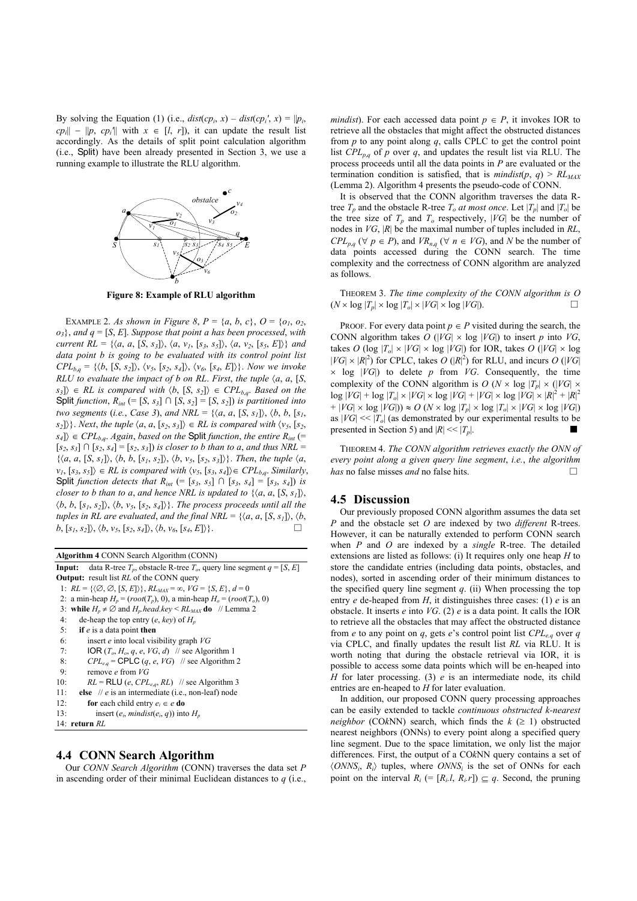By solving the Equation (1) (i.e.,  $dist(ep_i, x) - dist(ep_i', x) = ||p_i,$  $c p_i || - ||p, c p_i||$  with  $x \in [l, r]$ , it can update the result list accordingly. As the details of split point calculation algorithm (i.e., Split) have been already presented in Section 3, we use a running example to illustrate the RLU algorithm.



**Figure 8: Example of RLU algorithm** 

EXAMPLE 2. As shown in Figure 8,  $P = \{a, b, c\}$ ,  $Q = \{o_1, o_2, c_3, c_4, c_5, c_6, c_7, c_8, c_9, c_9, c_9, c_{10}\}$  $o_3$ , and  $q = [S, E]$ . *Suppose that point a has been processed, with current RL* = { $\langle a, a, [S, s_3] \rangle$ ,  $\langle a, v_1, [s_3, s_5] \rangle$ ,  $\langle a, v_2, [s_5, E] \rangle$ } *and data point b is going to be evaluated with its control point list*   $CPL_{b,q} = \{\langle b, [S, s_2] \rangle, \langle v_5, [s_2, s_4] \rangle, \langle v_6, [s_4, E] \rangle\}.$  Now we invoke *RLU to evaluate the impact of b on RL. First, the tuple*  $\langle a, a, [S, A] \rangle$  $s_3$ ] $\rangle \in RL$  *is compared with*  $\langle b, [S, s_2] \rangle \in CPL_{b,q}$ . Based on the Split *function*,  $R_{int}$  (= [*S*, *s*<sub>3</sub>] ∩ [*S*, *s*<sub>2</sub>] = [*S*, *s*<sub>2</sub>]) *is partitioned into two segments (i.e., Case 3), and NRL* = { $\langle a, a, [S, s_I] \rangle$ ,  $\langle b, b, [s_I, s_I] \rangle$  $s_2$ ) $\}$ . *Next*, *the tuple*  $\langle a, a, [s_2, s_3] \rangle \in RL$  *is compared with*  $\langle v_5, [s_2, s_3] \rangle$  $|s_4\rangle \in CPL_{b,q}$ . Again, based on the Split function, the entire  $R_{int}$  (=  $[s_2, s_3]$  ∩  $[s_2, s_4] = [s_2, s_3]$ ) *is closer to b than to a, and thus NRL* =  $\{\langle a, a, [S, s_I] \rangle, \langle b, b, [s_I, s_2] \rangle, \langle b, v_5, [s_2, s_3] \rangle\}.$  *Then, the tuple*  $\langle a,$  $\langle v_1, [s_3, s_5] \rangle \in RL$  *is compared with*  $\langle v_5, [s_3, s_4] \rangle \in CPL_{b,q}$ . Similarly, Split *function detects that*  $R_{int}$  (= [ $s_3$ ,  $s_5$ ]  $\cap$  [ $s_3$ ,  $s_4$ ] = [ $s_3$ ,  $s_4$ ]) *is closer to b than to a, and hence NRL is updated to*  $\{(a, a, [S, s_1]\},\)$  $\langle b, b, [s_1, s_2] \rangle$ ,  $\langle b, v_5, [s_2, s_4] \rangle$ . *The process proceeds until all the tuples in RL are evaluated, and the final NRL* =  $\{\langle a, a, [S, s_I] \rangle, \langle b, a_I \rangle, \langle c_I, c_I \rangle\}$  $b, [s_1, s_2] \rangle, \langle b, v_5, [s_2, s_4] \rangle, \langle b, v_6, [s_4, E] \rangle \}.$ 

| <b>Algorithm 4 CONN Search Algorithm (CONN)</b>                                                         |  |  |
|---------------------------------------------------------------------------------------------------------|--|--|
| data R-tree $T_p$ , obstacle R-tree $T_q$ , query line segment $q = [S, E]$<br>Input:                   |  |  |
| <b>Output:</b> result list <i>RL</i> of the CONN query                                                  |  |  |
| 1: $RL = \{ \langle \emptyset, \emptyset, [S, E] \rangle \}, RL_{MAX} = \infty, VG = \{ S, E \}, d = 0$ |  |  |
| 2: a min-heap $H_p = (root(T_p), 0)$ , a min-heap $H_p = (root(T_p), 0)$                                |  |  |
| 3: while $H_p \neq \emptyset$ and $H_p$ head key < RL <sub>MAX</sub> do // Lemma 2                      |  |  |
| de-heap the top entry $(e, \text{key})$ of $H_p$<br>4:                                                  |  |  |
| if $e$ is a data point then<br>5:                                                                       |  |  |
| 6:<br>insert $e$ into local visibility graph $VG$                                                       |  |  |
| 7:<br>IOR $(T_o, H_o, q, e, VG, d)$ // see Algorithm 1                                                  |  |  |
| $CPL_{e,q}$ = CPLC $(q, e, VG)$ // see Algorithm 2<br>8:                                                |  |  |
| remove e from $VG$<br>9:                                                                                |  |  |
| 10:<br>$RL = \text{RLU}(e, CPL_{e,q}, RL)$ // see Algorithm 3                                           |  |  |
| else // $e$ is an intermediate (i.e., non-leaf) node<br>11:                                             |  |  |
| 12:<br>for each child entry $e_i \in e$ do                                                              |  |  |
| insert ( $e_i$ , <i>mindist</i> ( $e_i$ , <i>q</i> )) into $H_p$<br>13:                                 |  |  |
| 14: return $RL$                                                                                         |  |  |
|                                                                                                         |  |  |

## **4.4 CONN Search Algorithm**

Our *CONN Search Algorithm* (CONN) traverses the data set *P* in ascending order of their minimal Euclidean distances to *q* (i.e.,

*mindist*). For each accessed data point  $p \in P$ , it invokes IOR to retrieve all the obstacles that might affect the obstructed distances from *p* to any point along *q*, calls CPLC to get the control point list  $CPL_{p,q}$  of *p* over *q*, and updates the result list via RLU. The process proceeds until all the data points in *P* are evaluated or the termination condition is satisfied, that is *mindist*( $p$ ,  $q$ ) >  $RL_{MAX}$ (Lemma 2). Algorithm 4 presents the pseudo-code of CONN.

It is observed that the CONN algorithm traverses the data Rtree  $T_p$  and the obstacle R-tree  $T_o$  *at most once*. Let  $|T_p|$  and  $|T_o|$  be the tree size of  $T_p$  and  $T_q$  respectively, |*VG*| be the number of nodes in *VG*, |*R*| be the maximal number of tuples included in *RL*,  $CPL_{p,q}$  ( $\forall$  *p*  $\in$  *P*), and *VR<sub>n,<i>q*</sub> ( $\forall$  *n*  $\in$  *VG*), and *N* be the number of data points accessed during the CONN search. The time complexity and the correctness of CONN algorithm are analyzed as follows.

THEOREM 3. *The time complexity of the CONN algorithm is O*   $(N \times \log |T_p| \times \log |T_o| \times |VG| \times \log |VG|)$ .

PROOF. For every data point  $p \in P$  visited during the search, the CONN algorithm takes  $O(|VG| \times log |VG|)$  to insert *p* into *VG*, takes *O* (log  $|T_o| \times |VG| \times \log |VG|$ ) for IOR, takes *O* (|*VG*|  $\times$  log  $|VG| \times |R|^2$ ) for CPLC, takes *O* ( $|R|^2$ ) for RLU, and incurs *O* ( $|VG|$ )  $\times$  log  $|VG|$  to delete *p* from *VG*. Consequently, the time complexity of the CONN algorithm is  $O(N \times \log |T_p| \times (|VG| \times$  $\log |VG| + \log |T_o| \times |VG| \times \log |VG| + |VG| \times \log |VG| \times |R|^2 + |R|^2$  $+ |VG| \times \log |VG|$ ))  $\approx O(N \times \log |T_p| \times \log |T_q| \times |VG| \times \log |VG|)$ as  $|VG| \ll |T_o|$  (as demonstrated by our experimental results to be presented in Section 5) and  $|R| \ll |T_p|$ .

THEOREM 4. *The CONN algorithm retrieves exactly the ONN of every point along a given query line segment*, *i.e.*, *the algorithm has* no false misses *and* no false hits. □

## **4.5 Discussion**

Our previously proposed CONN algorithm assumes the data set *P* and the obstacle set *O* are indexed by two *different* R-trees. However, it can be naturally extended to perform CONN search when *P* and *O* are indexed by a *single* R-tree. The detailed extensions are listed as follows: (i) It requires only one heap *H* to store the candidate entries (including data points, obstacles, and nodes), sorted in ascending order of their minimum distances to the specified query line segment  $q$ . (ii) When processing the top entry *e* de-heaped from *H*, it distinguishes three cases: (1) *e* is an obstacle. It inserts *e* into *VG*. (2) *e* is a data point. It calls the IOR to retrieve all the obstacles that may affect the obstructed distance from *e* to any point on *q*, gets *e*'s control point list  $\mathit{CPL}_{eq}$  over *q* via CPLC, and finally updates the result list *RL* via RLU. It is worth noting that during the obstacle retrieval via IOR, it is possible to access some data points which will be en-heaped into *H* for later processing. (3) *e* is an intermediate node, its child entries are en-heaped to *H* for later evaluation.

In addition, our proposed CONN query processing approaches can be easily extended to tackle *continuous obstructed k-nearest neighbor* (CO<sub>k</sub>NN) search, which finds the  $k$  ( $\geq$  1) obstructed nearest neighbors (ONNs) to every point along a specified query line segment. Due to the space limitation, we only list the major differences. First, the output of a CO*k*NN query contains a set of  $\langle ONNS_i, R_i \rangle$  tuples, where  $ONNS_i$  is the set of ONNs for each point on the interval  $R_i$  (=  $[R_i, l, R_i, r]$ )  $\subseteq q$ . Second, the pruning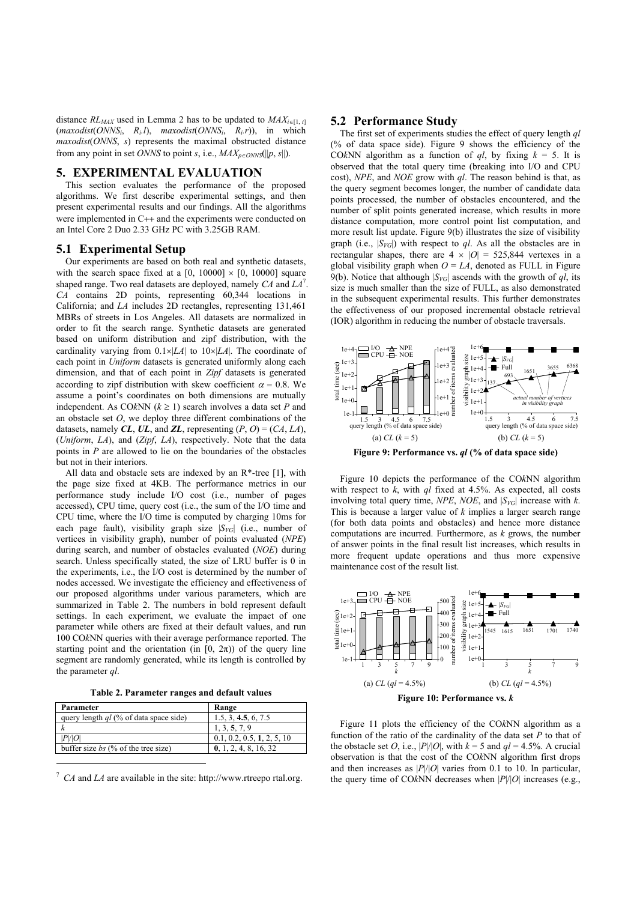distance  $RL_{MAX}$  used in Lemma 2 has to be updated to  $MAX_{i \in [1, t]}$ (*maxodist*(*ONNSi*, *Ri.l*), *maxodist*(*ONNSi*, *Ri.r*)), in which *maxodist*(*ONNS*, *s*) represents the maximal obstructed distance from any point in set *ONNS* to point *s*, i.e.,  $MAX_{p \in ONNS} (\|p, s\|)$ .

#### **5. EXPERIMENTAL EVALUATION**

This section evaluates the performance of the proposed algorithms. We first describe experimental settings, and then present experimental results and our findings. All the algorithms were implemented in C<sub>++</sub> and the experiments were conducted on an Intel Core 2 Duo 2.33 GHz PC with 3.25GB RAM.

#### **5.1 Experimental Setup**

Our experiments are based on both real and synthetic datasets, with the search space fixed at a  $[0, 10000] \times [0, 10000]$  square shaped range. Two real datasets are deployed, namely *CA* and *LA*<sup>7</sup> . *CA* contains 2D points, representing 60,344 locations in California; and *LA* includes 2D rectangles, representing 131,461 MBRs of streets in Los Angeles. All datasets are normalized in order to fit the search range. Synthetic datasets are generated based on uniform distribution and zipf distribution, with the cardinality varying from 0.1×|*LA*| to 10×|*LA*|. The coordinate of each point in *Uniform* datasets is generated uniformly along each dimension, and that of each point in *Zipf* datasets is generated according to zipf distribution with skew coefficient  $\alpha = 0.8$ . We assume a point's coordinates on both dimensions are mutually independent. As COkNN ( $k \ge 1$ ) search involves a data set *P* and an obstacle set *O*, we deploy three different combinations of the datasets, namely *CL*, *UL*, and **ZL**, representing  $(P, O) = (CA, LA)$ , (*Uniform*, *LA*), and (*Zipf*, *LA*), respectively. Note that the data points in *P* are allowed to lie on the boundaries of the obstacles but not in their interiors.

All data and obstacle sets are indexed by an  $R^*$ -tree [1], with the page size fixed at 4KB. The performance metrics in our performance study include I/O cost (i.e., number of pages accessed), CPU time, query cost (i.e., the sum of the I/O time and CPU time, where the I/O time is computed by charging 10ms for each page fault), visibility graph size  $|S_{VG}|$  (i.e., number of vertices in visibility graph), number of points evaluated (*NPE*) during search, and number of obstacles evaluated (*NOE*) during search. Unless specifically stated, the size of LRU buffer is 0 in the experiments, i.e., the I/O cost is determined by the number of nodes accessed. We investigate the efficiency and effectiveness of our proposed algorithms under various parameters, which are summarized in Table 2. The numbers in bold represent default settings. In each experiment, we evaluate the impact of one parameter while others are fixed at their default values, and run 100 CO*k*NN queries with their average performance reported. The starting point and the orientation (in  $[0, 2\pi)$ ) of the query line segment are randomly generated, while its length is controlled by the parameter *ql*.

**Table 2. Parameter ranges and default values** 

| Parameter                                | Range                      |
|------------------------------------------|----------------------------|
| query length $ql$ (% of data space side) | 1.5, 3, 4.5, 6, 7.5        |
|                                          | 1, 3, 5, 7, 9              |
| P/ O                                     | 0.1, 0.2, 0.5, 1, 2, 5, 10 |
| buffer size bs $(\%$ of the tree size)   | 0, 1, 2, 4, 8, 16, 32      |
|                                          |                            |

<sup>7</sup> *CA* and *LA* are available in the site: http://www.rtreepo rtal.org.

1

## **5.2 Performance Study**

The first set of experiments studies the effect of query length *ql* (% of data space side). Figure 9 shows the efficiency of the CO $k$ NN algorithm as a function of *ql*, by fixing  $k = 5$ . It is observed that the total query time (breaking into I/O and CPU cost), *NPE*, and *NOE* grow with *ql*. The reason behind is that, as the query segment becomes longer, the number of candidate data points processed, the number of obstacles encountered, and the number of split points generated increase, which results in more distance computation, more control point list computation, and more result list update. Figure 9(b) illustrates the size of visibility graph (i.e.,  $|S_{VG}|$ ) with respect to *ql*. As all the obstacles are in rectangular shapes, there are  $4 \times |O| = 525,844$  vertexes in a global visibility graph when  $O = LA$ , denoted as FULL in Figure 9(b). Notice that although  $|S_{VG}|$  ascends with the growth of *ql*, its size is much smaller than the size of FULL, as also demonstrated in the subsequent experimental results. This further demonstrates the effectiveness of our proposed incremental obstacle retrieval (IOR) algorithm in reducing the number of obstacle traversals.



**Figure 9: Performance vs.** *ql* **(% of data space side)** 

Figure 10 depicts the performance of the CO*k*NN algorithm with respect to *k*, with *ql* fixed at 4.5%. As expected, all costs involving total query time, *NPE*, *NOE*, and  $|S_{VG}|$  increase with *k*. This is because a larger value of  $k$  implies a larger search range (for both data points and obstacles) and hence more distance computations are incurred. Furthermore, as *k* grows, the number of answer points in the final result list increases, which results in more frequent update operations and thus more expensive maintenance cost of the result list.



Figure 11 plots the efficiency of the CO*k*NN algorithm as a function of the ratio of the cardinality of the data set *P* to that of the obstacle set *O*, i.e.,  $|P|/|O|$ , with  $k = 5$  and  $ql = 4.5%$ . A crucial observation is that the cost of the CO*k*NN algorithm first drops and then increases as  $|P|/|O|$  varies from 0.1 to 10. In particular, the query time of CO*k*NN decreases when |*P*|/|*O*| increases (e.g.,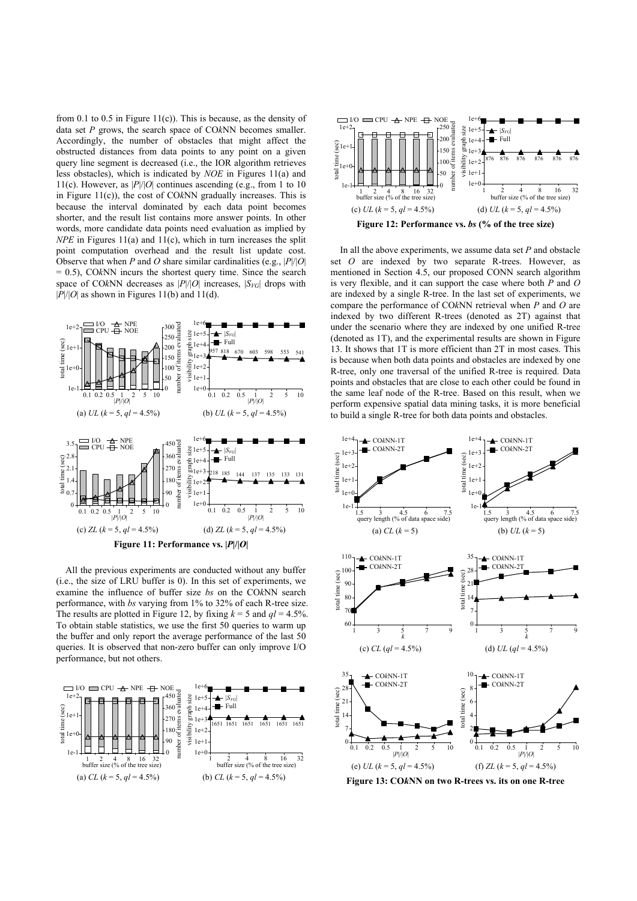from 0.1 to 0.5 in Figure 11(c)). This is because, as the density of data set *P* grows, the search space of CO*k*NN becomes smaller. Accordingly, the number of obstacles that might affect the obstructed distances from data points to any point on a given query line segment is decreased (i.e., the IOR algorithm retrieves less obstacles), which is indicated by *NOE* in Figures 11(a) and 11(c). However, as  $|P|/|O|$  continues ascending (e.g., from 1 to 10) in Figure 11(c)), the cost of CO*k*NN gradually increases. This is because the interval dominated by each data point becomes shorter, and the result list contains more answer points. In other words, more candidate data points need evaluation as implied by *NPE* in Figures 11(a) and 11(c), which in turn increases the split point computation overhead and the result list update cost. Observe that when *P* and *O* share similar cardinalities (e.g., |*P*|/|*O*| = 0.5), CO*k*NN incurs the shortest query time. Since the search space of CO*k*NN decreases as  $|P|/|O|$  increases,  $|S_{VG}|$  drops with  $|P|/|O|$  as shown in Figures 11(b) and 11(d).



All the previous experiments are conducted without any buffer (i.e., the size of LRU buffer is 0). In this set of experiments, we examine the influence of buffer size *bs* on the CO*k*NN search performance, with *bs* varying from 1% to 32% of each R-tree size. The results are plotted in Figure 12, by fixing  $k = 5$  and  $ql = 4.5\%$ . To obtain stable statistics, we use the first 50 queries to warm up the buffer and only report the average performance of the last 50 queries. It is observed that non-zero buffer can only improve I/O performance, but not others.





In all the above experiments, we assume data set *P* and obstacle set *O* are indexed by two separate R-trees. However, as mentioned in Section 4.5, our proposed CONN search algorithm is very flexible, and it can support the case where both *P* and *O* are indexed by a single R-tree. In the last set of experiments, we compare the performance of CO*k*NN retrieval when *P* and *O* are indexed by two different R-trees (denoted as 2T) against that under the scenario where they are indexed by one unified R-tree (denoted as 1T), and the experimental results are shown in Figure 13. It shows that 1T is more efficient than 2T in most cases. This is because when both data points and obstacles are indexed by one R-tree, only one traversal of the unified R-tree is required. Data points and obstacles that are close to each other could be found in the same leaf node of the R-tree. Based on this result, when we perform expensive spatial data mining tasks, it is more beneficial to build a single R-tree for both data points and obstacles.



**Figure 13: CO***k***NN on two R-trees vs. its on one R-tree**